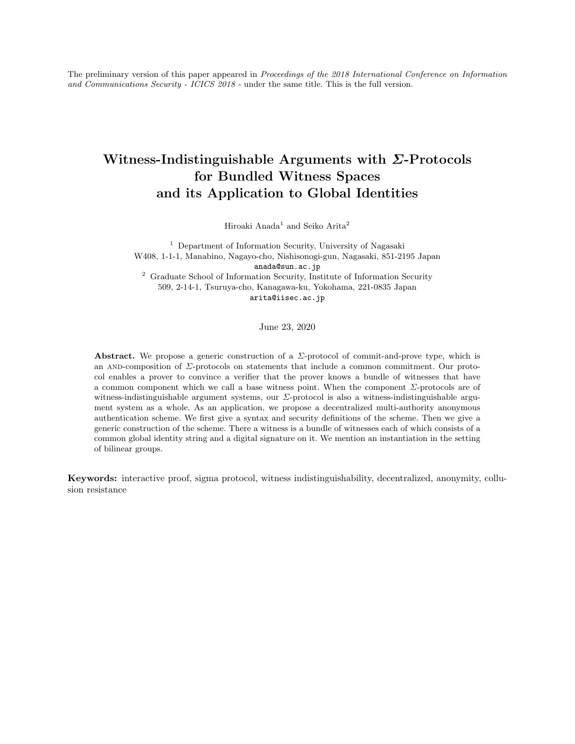The preliminary version of this paper appeared in Proceedings of the 2018 International Conference on Information and Communications Security - ICICS 2018 - under the same title. This is the full version.

# Witness-Indistinguishable Arguments with Σ-Protocols for Bundled Witness Spaces and its Application to Global Identities

Hiroaki Anada<sup>1</sup> and Seiko Arita<sup>2</sup>

<sup>1</sup> Department of Information Security, University of Nagasaki W408, 1-1-1, Manabino, Nagayo-cho, Nishisonogi-gun, Nagasaki, 851-2195 Japan anada@sun.ac.jp <sup>2</sup> Graduate School of Information Security, Institute of Information Security 509, 2-14-1, Tsuruya-cho, Kanagawa-ku, Yokohama, 221-0835 Japan arita@iisec.ac.jp

June 23, 2020

Abstract. We propose a generic construction of a  $\Sigma$ -protocol of commit-and-prove type, which is an AND-composition of  $\Sigma$ -protocols on statements that include a common commitment. Our protocol enables a prover to convince a verifier that the prover knows a bundle of witnesses that have a common component which we call a base witness point. When the component Σ-protocols are of witness-indistinguishable argument systems, our Σ-protocol is also a witness-indistinguishable argument system as a whole. As an application, we propose a decentralized multi-authority anonymous authentication scheme. We first give a syntax and security definitions of the scheme. Then we give a generic construction of the scheme. There a witness is a bundle of witnesses each of which consists of a common global identity string and a digital signature on it. We mention an instantiation in the setting of bilinear groups.

Keywords: interactive proof, sigma protocol, witness indistinguishability, decentralized, anonymity, collusion resistance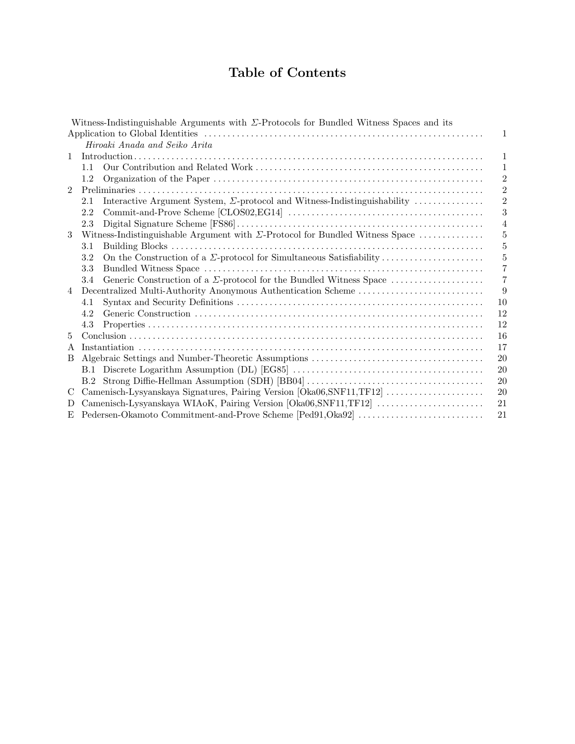# Table of Contents

|                | Witness-Indistinguishable Arguments with $\Sigma$ -Protocols for Bundled Witness Spaces and its |                |  |  |  |
|----------------|-------------------------------------------------------------------------------------------------|----------------|--|--|--|
|                |                                                                                                 | 1              |  |  |  |
|                | Hiroaki Anada and Seiko Arita                                                                   |                |  |  |  |
| 1              |                                                                                                 |                |  |  |  |
|                | 1.1                                                                                             | 1              |  |  |  |
|                | 1.2                                                                                             | $\overline{2}$ |  |  |  |
| $\overline{2}$ |                                                                                                 | $\overline{2}$ |  |  |  |
|                | Interactive Argument System, $\Sigma$ -protocol and Witness-Indistinguishability<br>2.1         | $\overline{2}$ |  |  |  |
|                | 2.2                                                                                             | 3              |  |  |  |
|                | 2.3                                                                                             | $\overline{4}$ |  |  |  |
| 3              | Witness-Indistinguishable Argument with $\Sigma$ -Protocol for Bundled Witness Space            | 5              |  |  |  |
|                | 3.1                                                                                             | 5              |  |  |  |
|                | 3.2                                                                                             | $\overline{5}$ |  |  |  |
|                | 3.3                                                                                             | 7              |  |  |  |
|                | Generic Construction of a $\Sigma$ -protocol for the Bundled Witness Space<br>3.4               | $\overline{7}$ |  |  |  |
| 4              |                                                                                                 |                |  |  |  |
|                | 4.1                                                                                             | 10             |  |  |  |
|                | 4.2                                                                                             | 12             |  |  |  |
|                | 4.3                                                                                             | 12             |  |  |  |
| 5              |                                                                                                 | 16             |  |  |  |
| A              | 17                                                                                              |                |  |  |  |
| B              |                                                                                                 |                |  |  |  |
|                |                                                                                                 | 20             |  |  |  |
|                |                                                                                                 | 20             |  |  |  |
| C              | Camenisch-Lysyanskaya Signatures, Pairing Version [Oka06,SNF11,TF12]<br>20                      |                |  |  |  |
| D              | 21                                                                                              |                |  |  |  |
|                | 21                                                                                              |                |  |  |  |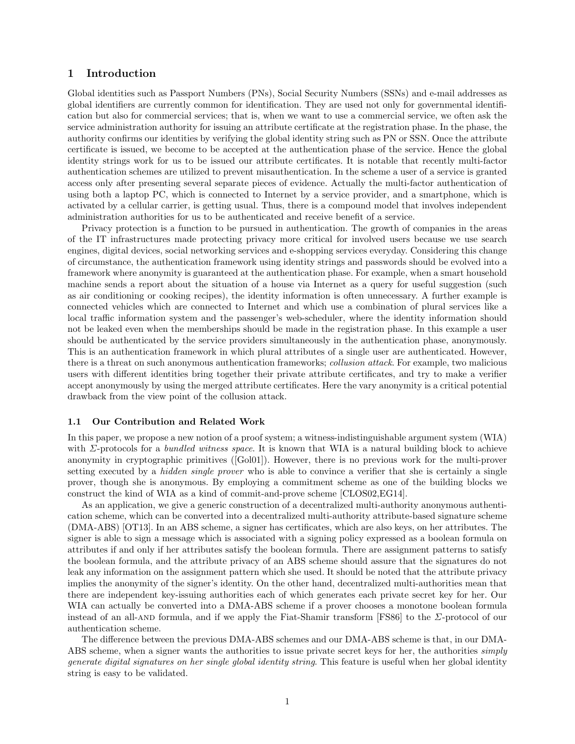# 1 Introduction

Global identities such as Passport Numbers (PNs), Social Security Numbers (SSNs) and e-mail addresses as global identifiers are currently common for identification. They are used not only for governmental identification but also for commercial services; that is, when we want to use a commercial service, we often ask the service administration authority for issuing an attribute certificate at the registration phase. In the phase, the authority confirms our identities by verifying the global identity string such as PN or SSN. Once the attribute certificate is issued, we become to be accepted at the authentication phase of the service. Hence the global identity strings work for us to be issued our attribute certificates. It is notable that recently multi-factor authentication schemes are utilized to prevent misauthentication. In the scheme a user of a service is granted access only after presenting several separate pieces of evidence. Actually the multi-factor authentication of using both a laptop PC, which is connected to Internet by a service provider, and a smartphone, which is activated by a cellular carrier, is getting usual. Thus, there is a compound model that involves independent administration authorities for us to be authenticated and receive benefit of a service.

Privacy protection is a function to be pursued in authentication. The growth of companies in the areas of the IT infrastructures made protecting privacy more critical for involved users because we use search engines, digital devices, social networking services and e-shopping services everyday. Considering this change of circumstance, the authentication framework using identity strings and passwords should be evolved into a framework where anonymity is guaranteed at the authentication phase. For example, when a smart household machine sends a report about the situation of a house via Internet as a query for useful suggestion (such as air conditioning or cooking recipes), the identity information is often unnecessary. A further example is connected vehicles which are connected to Internet and which use a combination of plural services like a local traffic information system and the passenger's web-scheduler, where the identity information should not be leaked even when the memberships should be made in the registration phase. In this example a user should be authenticated by the service providers simultaneously in the authentication phase, anonymously. This is an authentication framework in which plural attributes of a single user are authenticated. However, there is a threat on such anonymous authentication frameworks; collusion attack. For example, two malicious users with different identities bring together their private attribute certificates, and try to make a verifier accept anonymously by using the merged attribute certificates. Here the vary anonymity is a critical potential drawback from the view point of the collusion attack.

#### 1.1 Our Contribution and Related Work

In this paper, we propose a new notion of a proof system; a witness-indistinguishable argument system (WIA) with  $\Sigma$ -protocols for a *bundled witness space*. It is known that WIA is a natural building block to achieve anonymity in cryptographic primitives ([Gol01]). However, there is no previous work for the multi-prover setting executed by a *hidden single prover* who is able to convince a verifier that she is certainly a single prover, though she is anonymous. By employing a commitment scheme as one of the building blocks we construct the kind of WIA as a kind of commit-and-prove scheme [CLOS02,EG14].

As an application, we give a generic construction of a decentralized multi-authority anonymous authentication scheme, which can be converted into a decentralized multi-authority attribute-based signature scheme (DMA-ABS) [OT13]. In an ABS scheme, a signer has certificates, which are also keys, on her attributes. The signer is able to sign a message which is associated with a signing policy expressed as a boolean formula on attributes if and only if her attributes satisfy the boolean formula. There are assignment patterns to satisfy the boolean formula, and the attribute privacy of an ABS scheme should assure that the signatures do not leak any information on the assignment pattern which she used. It should be noted that the attribute privacy implies the anonymity of the signer's identity. On the other hand, decentralized multi-authorities mean that there are independent key-issuing authorities each of which generates each private secret key for her. Our WIA can actually be converted into a DMA-ABS scheme if a prover chooses a monotone boolean formula instead of an all-AND formula, and if we apply the Fiat-Shamir transform [FS86] to the  $\Sigma$ -protocol of our authentication scheme.

The difference between the previous DMA-ABS schemes and our DMA-ABS scheme is that, in our DMA-ABS scheme, when a signer wants the authorities to issue private secret keys for her, the authorities *simply* generate digital signatures on her single global identity string. This feature is useful when her global identity string is easy to be validated.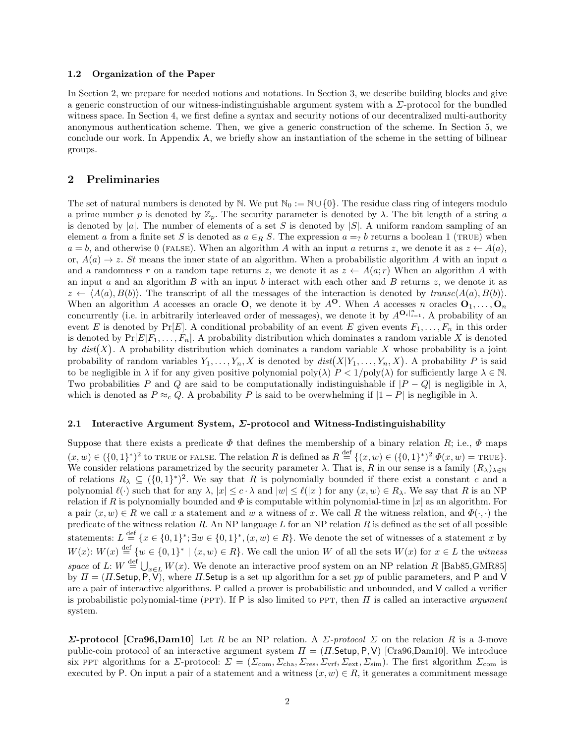#### 1.2 Organization of the Paper

In Section 2, we prepare for needed notions and notations. In Section 3, we describe building blocks and give a generic construction of our witness-indistinguishable argument system with a Σ-protocol for the bundled witness space. In Section 4, we first define a syntax and security notions of our decentralized multi-authority anonymous authentication scheme. Then, we give a generic construction of the scheme. In Section 5, we conclude our work. In Appendix A, we briefly show an instantiation of the scheme in the setting of bilinear groups.

# 2 Preliminaries

The set of natural numbers is denoted by N. We put  $\mathbb{N}_0 := \mathbb{N} \cup \{0\}$ . The residue class ring of integers modulo a prime number p is denoted by  $\mathbb{Z}_p$ . The security parameter is denoted by  $\lambda$ . The bit length of a string a is denoted by |a|. The number of elements of a set S is denoted by |S|. A uniform random sampling of an element a from a finite set S is denoted as  $a \in_R S$ . The expression  $a = g b$  returns a boolean 1 (TRUE) when  $a = b$ , and otherwise 0 (FALSE). When an algorithm A with an input a returns z, we denote it as  $z \leftarrow A(a)$ , or,  $A(a) \rightarrow z$ . St means the inner state of an algorithm. When a probabilistic algorithm A with an input a and a randomness r on a random tape returns z, we denote it as  $z \leftarrow A(a; r)$  When an algorithm A with an input a and an algorithm  $B$  with an input b interact with each other and  $B$  returns  $z$ , we denote it as  $z \leftarrow \langle A(a), B(b) \rangle$ . The transcript of all the messages of the interaction is denoted by transc $\langle A(a), B(b) \rangle$ . When an algorithm A accesses an oracle O, we denote it by  $A^{\mathbf{O}}$ . When A accesses n oracles  $\mathbf{O}_1, \ldots, \mathbf{O}_n$ concurrently (i.e. in arbitrarily interleaved order of messages), we denote it by  $A^{\mathbf{O}_i|_{i=1}^n}$ . A probability of an event E is denoted by  $Pr[E]$ . A conditional probability of an event E given events  $F_1, \ldots, F_n$  in this order is denoted by  $Pr[E|F_1, \ldots, F_n]$ . A probability distribution which dominates a random variable X is denoted by  $dist(X)$ . A probability distribution which dominates a random variable X whose probability is a joint probability of random variables  $Y_1, \ldots, Y_n, X$  is denoted by  $dist(X|Y_1, \ldots, Y_n, X)$ . A probability P is said to be negligible in  $\lambda$  if for any given positive polynomial poly( $\lambda$ )  $P < 1/\text{poly}(\lambda)$  for sufficiently large  $\lambda \in \mathbb{N}$ . Two probabilities P and Q are said to be computationally indistinguishable if  $|P - Q|$  is negligible in  $\lambda$ , which is denoted as  $P \approx_c Q$ . A probability P is said to be overwhelming if  $|1 - P|$  is negligible in  $\lambda$ .

## 2.1 Interactive Argument System, Σ-protocol and Witness-Indistinguishability

Suppose that there exists a predicate  $\Phi$  that defines the membership of a binary relation R; i.e.,  $\Phi$  maps  $(x, w) \in (\{0, 1\}^*)^2$  to TRUE or FALSE. The relation R is defined as  $R \stackrel{\text{def}}{=} \{(x, w) \in (\{0, 1\}^*)^2 | \Phi(x, w) = \text{TRUE}\}.$ We consider relations parametrized by the security parameter  $\lambda$ . That is, R in our sense is a family  $(R_{\lambda})_{\lambda\in\mathbb{N}}$ of relations  $R_{\lambda} \subseteq (\{0,1\}^*)^2$ . We say that R is polynomially bounded if there exist a constant c and a polynomial  $\ell(\cdot)$  such that for any  $\lambda, |x| \leq c \cdot \lambda$  and  $|w| \leq \ell(|x|)$  for any  $(x, w) \in R_\lambda$ . We say that R is an NP relation if R is polynomially bounded and  $\Phi$  is computable within polynomial-time in |x| as an algorithm. For a pair  $(x, w) \in R$  we call x a statement and w a witness of x. We call R the witness relation, and  $\Phi(\cdot, \cdot)$  the predicate of the witness relation R. An NP language  $L$  for an NP relation R is defined as the set of all possible statements:  $L \stackrel{\text{def}}{=} \{x \in \{0,1\}^*, \exists w \in \{0,1\}^*, (x,w) \in R\}.$  We denote the set of witnesses of a statement x by  $W(x)$ :  $W(x) \stackrel{\text{def}}{=} \{w \in \{0,1\}^* \mid (x,w) \in R\}$ . We call the union W of all the sets  $W(x)$  for  $x \in L$  the witness space of L:  $W \stackrel{\text{def}}{=} \bigcup_{x \in L} W(x)$ . We denote an interactive proof system on an NP relation R [Bab85,GMR85] by  $\Pi = (H.\mathsf{Setup}, P, V)$ , where  $H.\mathsf{Setup}$  is a set up algorithm for a set pp of public parameters, and P and V are a pair of interactive algorithms. P called a prover is probabilistic and unbounded, and V called a verifier is probabilistic polynomial-time (PPT). If P is also limited to PPT, then  $\Pi$  is called an interactive *argument* system.

**Σ-protocol [Cra96,Dam10]** Let R be an NP relation. A  $\Sigma$ -protocol  $\Sigma$  on the relation R is a 3-move public-coin protocol of an interactive argument system  $\Pi = (\Pi \text{.Setup}, P, V)$  [Cra96,Dam10]. We introduce six PPT algorithms for a  $\Sigma$ -protocol:  $\Sigma = (\Sigma_{\text{com}}, \Sigma_{\text{cha}}, \Sigma_{\text{res}}, \Sigma_{\text{vrf}}, \Sigma_{\text{ext}}, \Sigma_{\text{sim}})$ . The first algorithm  $\Sigma_{\text{com}}$  is executed by P. On input a pair of a statement and a witness  $(x, w) \in R$ , it generates a commitment message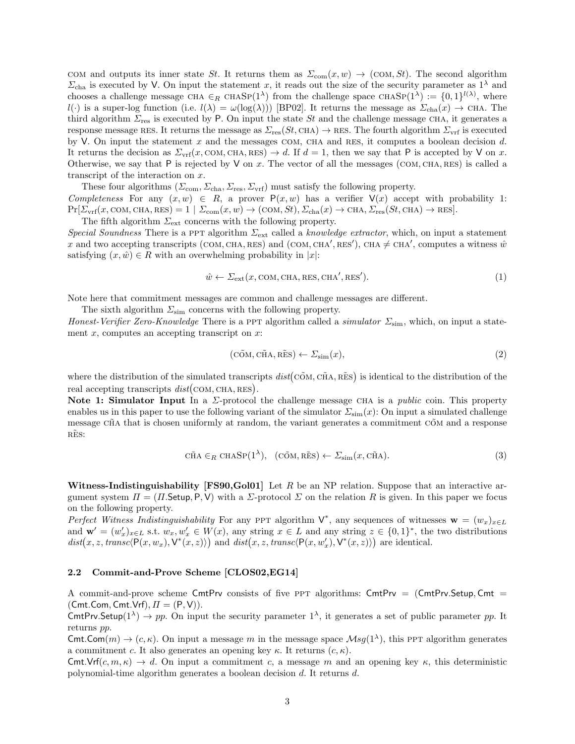COM and outputs its inner state St. It returns them as  $\Sigma_{\text{com}}(x, w) \rightarrow (\text{COM}, St)$ . The second algorithm  $\Sigma_{\text{cha}}$  is executed by V. On input the statement x, it reads out the size of the security parameter as  $1^{\lambda}$  and chooses a challenge message CHA  $\in_R$  CHASP(1<sup> $\lambda$ </sup>) from the challenge space CHASP(1<sup> $\lambda$ </sup>) := {0, 1}<sup>l( $\lambda$ )</sup>, where l(·) is a super-log function (i.e.  $l(\lambda) = \omega(\log(\lambda))$  [BP02]. It returns the message as  $\Sigma_{\text{cha}}(x) \to \text{CHA}$ . The third algorithm  $\Sigma_{res}$  is executed by P. On input the state St and the challenge message CHA, it generates a response message RES. It returns the message as  $\Sigma_{\text{res}}(St, \text{CHA}) \to \text{RES}$ . The fourth algorithm  $\Sigma_{\text{vrf}}$  is executed by V. On input the statement  $x$  and the messages COM, CHA and RES, it computes a boolean decision  $d$ . It returns the decision as  $\Sigma_{\text{vrf}}(x, \text{COM}, \text{CHA}, \text{RES}) \rightarrow d$ . If  $d = 1$ , then we say that P is accepted by V on x. Otherwise, we say that  $P$  is rejected by  $V$  on  $x$ . The vector of all the messages (COM, CHA, RES) is called a transcript of the interaction on x.

These four algorithms  $(\Sigma_{\text{com}}, \Sigma_{\text{cha}}, \Sigma_{\text{res}}, \Sigma_{\text{vrf}})$  must satisfy the following property. Completeness For any  $(x, w) \in R$ , a prover  $P(x, w)$  has a verifier  $V(x)$  accept with probability 1:  $Pr[\Sigma_{\text{vrf}}(x, \text{COM}, \text{CHA}, \text{RES})] = 1 | \Sigma_{\text{com}}(x, w) \rightarrow (\text{COM}, St), \Sigma_{\text{cha}}(x) \rightarrow \text{CHA}, \Sigma_{\text{res}}(St, \text{CHA}) \rightarrow \text{RES}].$ 

The fifth algorithm  $\Sigma_{\text{ext}}$  concerns with the following property. Special Soundness There is a PPT algorithm  $\Sigma_{ext}$  called a knowledge extractor, which, on input a statement x and two accepting transcripts (COM, CHA, RES) and (COM, CHA', RES'), CHA  $\neq$  CHA', computes a witness  $\hat{w}$ satisfying  $(x, \hat{w}) \in R$  with an overwhelming probability in |x|:

$$
\hat{w} \leftarrow \Sigma_{\text{ext}}(x, \text{COM}, \text{CHA}, \text{RES}, \text{CHA}', \text{RES}'). \tag{1}
$$

Note here that commitment messages are common and challenge messages are different.

The sixth algorithm  $\Sigma_{sim}$  concerns with the following property.

Honest-Verifier Zero-Knowledge There is a PPT algorithm called a simulator  $\Sigma_{\rm sim}$ , which, on input a statement  $x$ , computes an accepting transcript on  $x$ :

$$
(\tilde{\text{COM}}, \tilde{\text{CHA}}, \tilde{\text{RES}}) \leftarrow \Sigma_{\text{sim}}(x), \tag{2}
$$

where the distribution of the simulated transcripts  $dist(C\tilde{O}M, C\tilde{H}A, R\tilde{E}S)$  is identical to the distribution of the real accepting transcripts  $dist(\text{COM}, \text{CHA}, \text{RES}).$ 

Note 1: Simulator Input In a  $\Sigma$ -protocol the challenge message CHA is a *public* coin. This property enables us in this paper to use the following variant of the simulator  $\Sigma_{\rm sim}(x)$ : On input a simulated challenge message CHA that is chosen uniformly at random, the variant generates a commitment COM and a response RES:

$$
\tilde{\text{CHA}} \in_R \text{CHASP}(1^{\lambda}), \quad (\tilde{\text{COM}}, \tilde{\text{RES}}) \leftarrow \Sigma_{\text{sim}}(x, \tilde{\text{CHA}}). \tag{3}
$$

Witness-Indistinguishability  $[FS90, Gol01]$  Let R be an NP relation. Suppose that an interactive argument system  $\Pi = (\Pi$ . Setup, P, V) with a  $\Sigma$ -protocol  $\Sigma$  on the relation R is given. In this paper we focus on the following property.

Perfect Witness Indistinguishability For any PPT algorithm  $V^*$ , any sequences of witnesses  $\mathbf{w} = (w_x)_{x \in L}$ and  $\mathbf{w}' = (w'_x)_{x \in L}$  s.t.  $w_x, w'_x \in W(x)$ , any string  $x \in L$  and any string  $z \in \{0,1\}^*$ , the two distributions  $dist(x, z, transc \langle \mathsf{P}(x, w_x), \mathsf{V}^*(x, z) \rangle)$  and  $dist(x, z, transc \langle \mathsf{P}(x, w'_x), \mathsf{V}^*(x, z) \rangle)$  are identical.

### 2.2 Commit-and-Prove Scheme [CLOS02,EG14]

A commit-and-prove scheme CmtPrv consists of five PPT algorithms: CmtPrv =  $(CmtPrv \cdot Setup, Cmt =$  $(Cmt.Com, Cmt.Vrf), \Pi = (P, V).$ 

CmtPrv.Setup( $1^{\lambda}$ )  $\rightarrow$  pp. On input the security parameter  $1^{\lambda}$ , it generates a set of public parameter pp. It returns pp.

Cmt.Com(m)  $\rightarrow$  (c,  $\kappa$ ). On input a message m in the message space  $\mathcal{M}sg(1^{\lambda})$ , this PPT algorithm generates a commitment c. It also generates an opening key  $\kappa$ . It returns  $(c, \kappa)$ .

Cmt.Vrf $(c, m, \kappa) \to d$ . On input a commitment c, a message m and an opening key  $\kappa$ , this deterministic polynomial-time algorithm generates a boolean decision d. It returns d.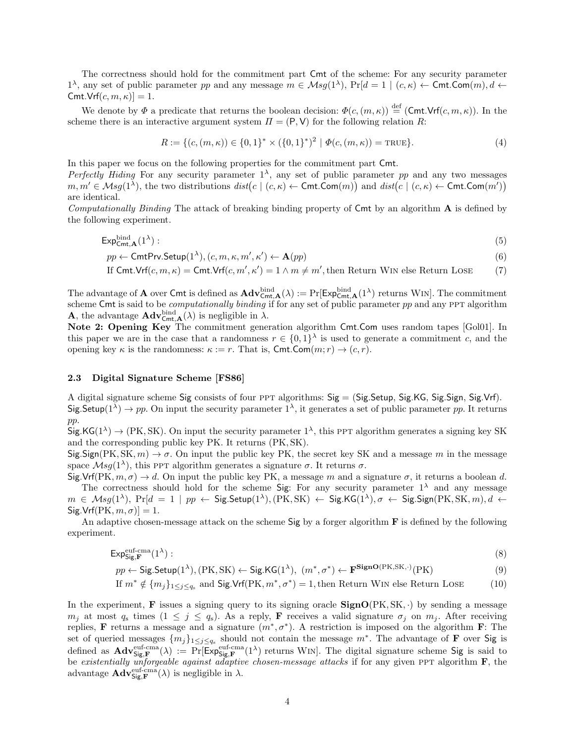The correctness should hold for the commitment part Cmt of the scheme: For any security parameter  $1^{\lambda}$ , any set of public parameter pp and any message  $m \in \mathcal{M}sg(1^{\lambda})$ ,  $Pr[d = 1 \mid (c, \kappa) \leftarrow \textsf{Cmt}.\textsf{Com}(m), d \leftarrow \textsf{Cmt}$  $Cmt.Vrf(c, m, \kappa)]=1.$ 

We denote by  $\Phi$  a predicate that returns the boolean decision:  $\Phi(c,(m,\kappa)) \stackrel{\text{def}}{=} (\text{Cmt.Vrf}(c,m,\kappa))$ . In the scheme there is an interactive argument system  $\Pi = (P, V)$  for the following relation R:

$$
R := \{ (c, (m, \kappa)) \in \{0, 1\}^* \times (\{0, 1\}^*)^2 \mid \Phi(c, (m, \kappa)) = \text{TRUE} \}. \tag{4}
$$

In this paper we focus on the following properties for the commitment part Cmt.

Perfectly Hiding For any security parameter  $1^{\lambda}$ , any set of public parameter pp and any two messages  $m, m' \in \mathcal{M}sg(1^{\lambda})$ , the two distributions  $dist(c \mid (c, \kappa) \leftarrow \textsf{Cmt}.\textsf{Com}(m))$  and  $dist(c \mid (c, \kappa) \leftarrow \textsf{Cmt}.\textsf{Com}(m'))$ are identical.

Computationally Binding The attack of breaking binding property of  $\mathsf{Cmt}$  by an algorithm  $\mathbf{A}$  is defined by the following experiment.

$$
\mathsf{Exp}_{\mathsf{Cmt},\mathbf{A}}^{\mathsf{bind}}(1^{\lambda}) : \tag{5}
$$

$$
pp \leftarrow \textsf{CmtPrv}.\textsf{Setup}(1^{\lambda}), (c, m, \kappa, m', \kappa') \leftarrow \mathbf{A}(pp) \tag{6}
$$

If Cmt.Vrf(
$$
c, m, \kappa
$$
) = Cmt.Vrf( $c, m', \kappa'$ ) = 1  $\wedge$   $m \neq m'$ , then Return WIN else Return LOSE (7)

The advantage of **A** over Cmt is defined as  $\mathbf{Adv}_{\mathsf{Cmt},\mathbf{A}}^{\text{bind}}(\lambda) := \Pr[\mathsf{Exp}_{\mathsf{Cmt},\mathbf{A}}^{\text{bind}}(1^{\lambda})]$  returns WIN]. The commitment scheme Cmt is said to be *computationally binding* if for any set of public parameter  $pp$  and any PPT algorithm **A**, the advantage  $\mathbf{Adv}_{\mathsf{Cmt},\mathbf{A}}^{\text{bind}}(\lambda)$  is negligible in  $\lambda$ .

Note 2: Opening Key The commitment generation algorithm Cmt.Com uses random tapes [Gol01]. In this paper we are in the case that a randomness  $r \in \{0,1\}^{\lambda}$  is used to generate a commitment c, and the opening key  $\kappa$  is the randomness:  $\kappa := r$ . That is, Cmt.Com $(m; r) \rightarrow (c, r)$ .

# 2.3 Digital Signature Scheme [FS86]

A digital signature scheme Sig consists of four ppt algorithms: Sig = (Sig.Setup, Sig.KG, Sig.Sign, Sig.Vrf). Sig.Setup( $1^{\lambda}$ )  $\rightarrow$  pp. On input the security parameter  $1^{\lambda}$ , it generates a set of public parameter pp. It returns pp.

 $\text{Sig.KG}(1^{\lambda}) \to (\text{PK}, \text{SK})$ . On input the security parameter  $1^{\lambda}$ , this PPT algorithm generates a signing key SK and the corresponding public key PK. It returns (PK, SK).

 $\text{Sig.Sign(PK, SK}, m) \to \sigma$ . On input the public key PK, the secret key SK and a message m in the message space  $\mathcal{M}sg(1^{\lambda})$ , this PPT algorithm generates a signature  $\sigma$ . It returns  $\sigma$ .

 $Sig.Vrf(PK, m, \sigma) \rightarrow d$ . On input the public key PK, a message m and a signature  $\sigma$ , it returns a boolean d. The correctness should hold for the scheme Sig: For any security parameter  $1^{\lambda}$  and any message  $m \in \mathcal{M}sg(1^{\lambda}), \; Pr[d = 1 \mid pp \leftarrow \mathsf{Sig}.\mathsf{Setup}(1^{\lambda}), (\mathsf{PK}, \mathsf{SK}) \leftarrow \mathsf{Sig}.\mathsf{KG}(1^{\lambda}), \sigma \leftarrow \mathsf{Sig}.\mathsf{Sign}(\mathsf{PK}, \mathsf{SK}, m), d \leftarrow \sigma$  $\text{Sig.Vrf(PK}, m, \sigma)$ ] = 1.

An adaptive chosen-message attack on the scheme Sig by a forger algorithm  $\bf{F}$  is defined by the following experiment.

$$
\mathsf{Exp}_{\mathsf{Sig}, \mathbf{F}}^{\text{euf-cma}}(1^{\lambda}) : \tag{8}
$$

 $pp \leftarrow$  Sig.Setup(1<sup> $\lambda$ </sup>), (PK, SK)  $\leftarrow$  Sig.KG(1 $\lambda$ ),  $(m^*, \sigma^*) \leftarrow \mathbf{F^{SignO(PK, SK, \cdot)}(PK)}$  (9)

If 
$$
m^* \notin \{m_j\}_{1 \leq j \leq q_s}
$$
 and Sig.Vrf(PK,  $m^*, \sigma^*$ ) = 1, then Return WIN else Return LOSE (10)

In the experiment, **F** issues a signing query to its signing oracle  $SignO(PK, SK, \cdot)$  by sending a message  $m_j$  at most  $q_s$  times  $(1 \leq j \leq q_s)$ . As a reply, **F** receives a valid signature  $\sigma_j$  on  $m_j$ . After receiving replies, **F** returns a message and a signature  $(m^*, \sigma^*)$ . A restriction is imposed on the algorithm **F**: The set of queried messages  $\{m_j\}_{1\leq j\leq q_s}$  should not contain the message  $m^*$ . The advantage of **F** over Sig is defined as  $\mathbf{Adv}_{\mathsf{Sig},\mathbf{F}}^{\text{euf-cma}}(\lambda) := \Pr[\mathsf{Exp}_{\mathsf{Sig},\mathbf{F}}^{\text{euf-cma}}(1^{\lambda}) \text{ returns WIN}]$ . The digital signature scheme Sig is said to be existentially unforgeable against adaptive chosen-message attacks if for any given PPT algorithm  $\bf{F}$ , the advantage  $\mathbf{Adv}_{\mathsf{Sig},\mathbf{F}}^{\text{euf-cma}}(\lambda)$  is negligible in  $\lambda$ .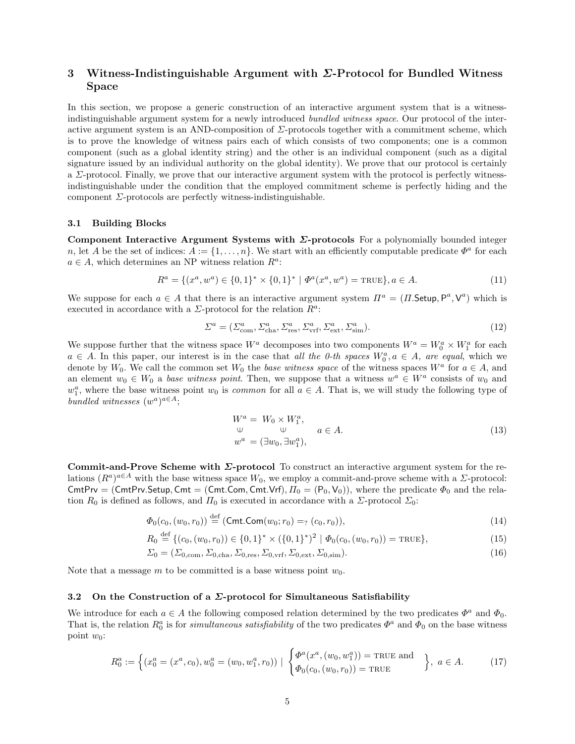# 3 Witness-Indistinguishable Argument with  $\Sigma$ -Protocol for Bundled Witness Space

In this section, we propose a generic construction of an interactive argument system that is a witnessindistinguishable argument system for a newly introduced bundled witness space. Our protocol of the interactive argument system is an AND-composition of  $\Sigma$ -protocols together with a commitment scheme, which is to prove the knowledge of witness pairs each of which consists of two components; one is a common component (such as a global identity string) and the other is an individual component (such as a digital signature issued by an individual authority on the global identity). We prove that our protocol is certainly a  $\Sigma$ -protocol. Finally, we prove that our interactive argument system with the protocol is perfectly witnessindistinguishable under the condition that the employed commitment scheme is perfectly hiding and the component  $\Sigma$ -protocols are perfectly witness-indistinguishable.

#### 3.1 Building Blocks

Component Interactive Argument Systems with  $\Sigma$ -protocols For a polynomially bounded integer n, let A be the set of indices:  $A := \{1, \ldots, n\}$ . We start with an efficiently computable predicate  $\Phi^a$  for each  $a \in A$ , which determines an NP witness relation  $R^a$ :

$$
R^{a} = \{(x^{a}, w^{a}) \in \{0, 1\}^{*} \times \{0, 1\}^{*} \mid \Phi^{a}(x^{a}, w^{a}) = \text{TRUE}\}, a \in A.
$$
\n(11)

We suppose for each  $a \in A$  that there is an interactive argument system  $\Pi^a = (\Pi \text{Setup}, P^a, V^a)$  which is executed in accordance with a  $\Sigma$ -protocol for the relation  $R^a$ :

$$
\Sigma^a = (\Sigma^a_{\text{com}}, \Sigma^a_{\text{cha}}, \Sigma^a_{\text{res}}, \Sigma^a_{\text{vrf}}, \Sigma^a_{\text{ext}}, \Sigma^a_{\text{sim}}). \tag{12}
$$

We suppose further that the witness space  $W^a$  decomposes into two components  $W^a = W_0^a \times W_1^a$  for each  $a \in A$ . In this paper, our interest is in the case that all the 0-th spaces  $W_0^a, a \in A$ , are equal, which we denote by W<sub>0</sub>. We call the common set W<sub>0</sub> the *base witness space* of the witness spaces  $W^a$  for  $a \in A$ , and an element  $w_0 \in W_0$  a base witness point. Then, we suppose that a witness  $w^a \in W^a$  consists of  $w_0$  and  $w_1^a$ , where the base witness point  $w_0$  is *common* for all  $a \in A$ . That is, we will study the following type of bundled witnesses  $(w^a)^{a \in A}$ ;

$$
W^{a} = W_{0} \times W_{1}^{a},
$$
  
\n
$$
\downarrow \qquad \qquad \downarrow \qquad a \in A.
$$
  
\n
$$
w^{a} = (\exists w_{0}, \exists w_{1}^{a}),
$$
  
\n(13)

Commit-and-Prove Scheme with  $\Sigma$ -protocol To construct an interactive argument system for the relations  $(R^a)^{a\in A}$  with the base witness space  $W_0$ , we employ a commit-and-prove scheme with a  $\Sigma$ -protocol: CmtPrv = (CmtPrv.Setup, Cmt = (Cmt.Com, Cmt.Vrf),  $\Pi_0 = (P_0, V_0)$ ), where the predicate  $\Phi_0$  and the relation  $R_0$  is defined as follows, and  $\Pi_0$  is executed in accordance with a  $\Sigma$ -protocol  $\Sigma_0$ :

$$
\Phi_0(c_0, (w_0, r_0)) \stackrel{\text{def}}{=} (\text{Cmt}.\text{Com}(w_0; r_0) =: (c_0, r_0)),\tag{14}
$$

$$
R_0 \stackrel{\text{def}}{=} \{ (c_0, (w_0, r_0)) \in \{0, 1\}^* \times (\{0, 1\}^*)^2 \mid \Phi_0(c_0, (w_0, r_0)) = \text{TRUE} \},\tag{15}
$$

$$
\Sigma_0 = (\Sigma_{0,\text{com}}, \Sigma_{0,\text{cha}}, \Sigma_{0,\text{res}}, \Sigma_{0,\text{vrf}}, \Sigma_{0,\text{ext}}, \Sigma_{0,\text{sim}}). \tag{16}
$$

Note that a message m to be committed is a base witness point  $w_0$ .

## 3.2 On the Construction of a  $\Sigma$ -protocol for Simultaneous Satisfiability

We introduce for each  $a \in A$  the following composed relation determined by the two predicates  $\Phi^a$  and  $\Phi_0$ . That is, the relation  $R_0^a$  is for *simultaneous satisfiability* of the two predicates  $\Phi^a$  and  $\Phi_0$  on the base witness point  $w_0$ :

$$
R_0^a := \left\{ (x_0^a = (x^a, c_0), w_0^a = (w_0, w_1^a, r_0)) \mid \begin{cases} \Phi^a(x^a, (w_0, w_1^a)) = \text{TRUE} \text{ and} \\ \Phi_0(c_0, (w_0, r_0)) = \text{TRUE} \end{cases} \right\}, a \in A. \tag{17}
$$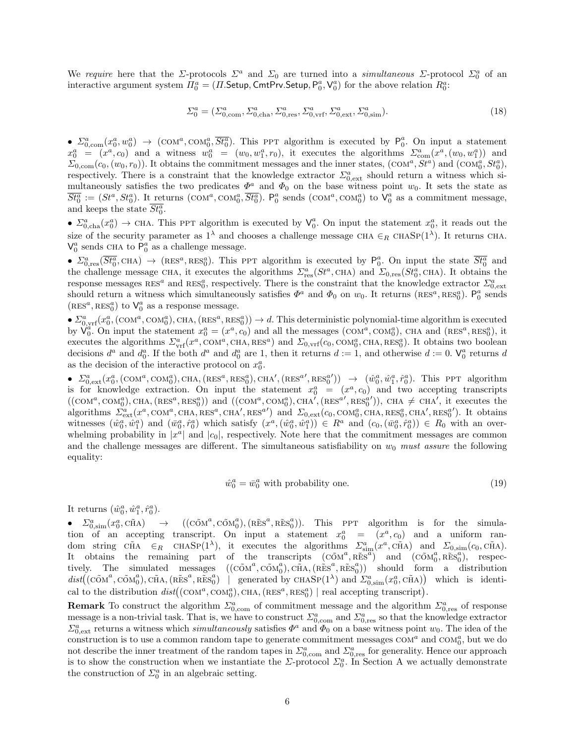We require here that the  $\Sigma$ -protocols  $\Sigma^a$  and  $\Sigma_0$  are turned into a simultaneous  $\Sigma$ -protocol  $\Sigma_0^a$  of an interactive argument system  $\Pi_0^a = (\Pi$ . Setup, CmtPrv. Setup,  $P_0^a$ ,  $V_0^a$ ) for the above relation  $R_0^a$ :

$$
\Sigma_0^a = (\Sigma_{0,\text{com}}^a, \Sigma_{0,\text{cha}}^a, \Sigma_{0,\text{res}}^a, \Sigma_{0,\text{vrf}}^a, \Sigma_{0,\text{ext}}^a, \Sigma_{0,\text{sim}}^a). \tag{18}
$$

•  $\Sigma_{0,\text{com}}^a(x_0^a, w_0^a) \rightarrow (\text{COM}^a, \text{COM}_0^a, \overline{St}_0^a)$ . This PPT algorithm is executed by  $P_0^a$ . On input a statement  $x_0^a = (x^a, c_0)$  and a witness  $w_0^a = (w_0, w_1^a, r_0)$ , it executes the algorithms  $\Sigma_{\text{com}}^a(x^a, (w_0, w_1^a))$  and  $\Sigma_{0,\text{com}}(c_0,(w_0,r_0))$ . It obtains the commitment messages and the inner states,  $(\text{COM}^a, \text{St}^a)$  and  $(\text{COM}^a_0, \text{St}^a_0)$ , respectively. There is a constraint that the knowledge extractor  $\Sigma_{0,ext}^a$  should return a witness which simultaneously satisfies the two predicates  $\Phi^a$  and  $\Phi_0$  on the base witness point  $w_0$ . It sets the state as  $\overline{St_0^a} := (St^a, St_0^a)$ . It returns  $(\text{COM}^a, \text{COM}_0^a, \overline{St_0^a})$ .  $\mathsf{P}_0^a$  sends  $(\text{COM}^a, \text{COM}_0^a)$  to  $\mathsf{V}_0^a$  as a commitment message, and keeps the state  $\overline{St_0^a}$ .

•  $\Sigma_{0,\text{cha}}^a(x_0^a) \to \text{CHA}$ . This PPT algorithm is executed by  $\mathsf{V}_0^a$ . On input the statement  $x_0^a$ , it reads out the size of the security parameter as  $1^{\lambda}$  and chooses a challenge message CHA  $\in_R$  CHASP( $1^{\lambda}$ ). It returns CHA.  $V_0^a$  sends CHA to  $\overline{P_0^a}$  as a challenge message.

•  $\Sigma_{0,res}^a(\overline{St_0^a}, \text{CHA}) \rightarrow (\text{RES}^a, \text{RES}_0^a)$ . This PPT algorithm is executed by  $P_0^a$ . On input the state  $\overline{St_0^a}$  and the challenge message CHA, it executes the algorithms  $\Sigma_{\text{res}}^a(St^a, \text{CHA})$  and  $\Sigma_{0,\text{res}}(St^a_0, \text{CHA})$ . It obtains the response messages  $RES^a$  and  $RES^a_0$ , respectively. There is the constraint that the knowledge extractor  $\Sigma^a_{0,ext}$ should return a witness which simultaneously satisfies  $\Phi^a$  and  $\Phi_0$  on  $w_0$ . It returns  $(RES^a,RES^a_0)$ .  $P^a_0$  sends  $(\text{\sc{RES}}^a,\text{\sc{RES}}^a_0)$  to  $\textsf{V}^a_0$  as a response message.

 $\blacktriangleright \sum_{0,\rm vrf}^a(x_0^a,(\text{COM}^a,\text{COM}^a_0),\text{CHA},(\text{RES}^a,\text{RES}^a_0)) \rightarrow d.$  This deterministic polynomial-time algorithm is executed by  $\check{V}_0^a$ . On input the statement  $x_0^a = (x^a, c_0)$  and all the messages  $(\text{COM}^a, \text{COM}^a_0)$ , CHA and  $(\text{RES}^a, \text{RES}^a_0)$ , it executes the algorithms  $\Sigma^a_{\rm vrf}(x^a, \text{COM}^a, \text{CHA}, \text{RES}^a)$  and  $\Sigma_{0,\rm vrf}(c_0, \text{COM}^a_0, \text{CHA}, \text{RES}^a_0)$ . It obtains two boolean decisions  $d^a$  and  $d_0^a$ . If the both  $d^a$  and  $d_0^a$  are 1, then it returns  $d := 1$ , and otherwise  $d := 0$ .  $\mathsf{V}_0^a$  returns d as the decision of the interactive protocol on  $x_0^a$ .

•  $\Sigma_{0,ext}^a(x_0^a,(\text{COM}^a,\text{COM}^a_0),\text{CHA},(\text{RES}^a,\text{RES}^a_0),\text{CHA}',(\text{RES}^{a'},\text{RES}^{a'})$   $\rightarrow (\hat{w}_0^a,\hat{w}_1^a,\hat{r}_0^a)$ . This PPT algorithm is for knowledge extraction. On input the statement  $x_0^a = (x^a, c_0)$  and two accepting transcripts  $((com^a, com^a_0), \text{CHA}, (\text{RES}^a, \text{RES}^a_0))$  and  $((com^a, com^a_0), \text{CHA}', (\text{RES}^{a'}, \text{RES}^{a'}_0))$ , CHA  $\neq$  CHA', it executes the algorithms  $\sum_{\text{ext}}^a (x^a, \text{COM}^a, \text{CHA}, \text{RES}^a, \text{CHA}', \text{RES}^{a'})$  and  $\sum_{0,\text{ext}} (c_0, \text{COM}^a_0, \text{CHA}, \text{RES}^a_0, \text{CHA}', \text{RES}^{a'}_0)$ . It obtains witnesses  $(\hat{w}_0^a, \hat{w}_1^a)$  and  $(\bar{w}_0^a, \hat{r}_0^a)$  which satisfy  $(x^a, (\hat{w}_0^a, \hat{w}_1^a)) \in R^a$  and  $(c_0, (\bar{w}_0^a, \hat{r}_0^a)) \in R_0$  with an overwhelming probability in  $|x^a|$  and  $|c_0|$ , respectively. Note here that the commitment messages are common and the challenge messages are different. The simultaneous satisfiability on  $w_0$  must assure the following equality:

$$
\hat{w}_0^a = \bar{w}_0^a \text{ with probability one.} \tag{19}
$$

It returns  $(\hat{w}_0^a, \hat{w}_1^a, \hat{r}_0^a)$ .

•  $\Sigma_{0,\text{sim}}^a(x_0^a, \tilde{\text{cm}}_A^a) \rightarrow ((\tilde{\text{COM}}^a, \tilde{\text{COM}}^a_0), (\tilde{\text{RES}}^a, \tilde{\text{RES}}^a_0)).$  This PPT algorithm is for the simulation of an accepting transcript. On input a statement  $x_0^a = (x^a, c_0)$  and a uniform random string  $\tilde{CHA}$   $\in_R$   $\text{CHASP}(1^{\lambda})$ , it executes the algorithms  $\sum_{\text{sim}}^a(x^a, \tilde{\text{CHA}})$  and  $\sum_{0,\text{sim}}(c_0, \tilde{\text{CHA}})$ . It obtains the remaining part of the transcripts  $(c\tilde{\alpha}M^a, \tilde{\text{res}}^a)$  and  $(c\tilde{\alpha}M^a_0, \tilde{\text{res}}^a_0)$ , respectively. The simulated messages  $((\tilde{\mathrm{COM}}^a, \tilde{\mathrm{COM}}^a_0), \tilde{\mathrm{CHA}}, (\tilde{\mathrm{RES}}^a, \tilde{\mathrm{RES}}^a_0))$  should form a distribution  $dist((\tilde{\text{COM}}^a, \tilde{\text{COM}}^a_0), \tilde{\text{CHA}}, (\tilde{\text{RES}}^a, \tilde{\text{RES}}^a_0) \mid \text{generated by } \text{CHASP}(1^{\lambda}) \text{ and } \tilde{\text{OM}}^a_{0, \text{sim}}(x^a_0, \tilde{\text{CHA}}) \mid \text{which is identi$ cal to the distribution  $dist((com^a, com^a_0), \text{CHA}, (\text{RES}^a, \text{RES}^a_0) \mid \text{real accepting transcript}).$ 

**Remark** To construct the algorithm  $\Sigma_{0,\text{com}}^a$  of commitment message and the algorithm  $\Sigma_{0,\text{res}}^a$  of response message is a non-trivial task. That is, we have to construct  $\Sigma_{0,\text{com}}^a$  and  $\Sigma_{0,\text{res}}^a$  so that the knowledge extractor  $\Sigma_{0,ext}^a$  returns a witness which *simultaneously* satisfies  $\Phi^a$  and  $\Phi_0$  on a base witness point  $w_0$ . The idea of the construction is to use a common random tape to generate commitment messages  $COM^a$  and  $COM_0^a$ , but we do not describe the inner treatment of the random tapes in  $\Sigma_{0,con}^a$  and  $\Sigma_{0,res}^a$  for generality. Hence our approach is to show the construction when we instantiate the  $\Sigma$ -protocol  $\Sigma_0^a$ . In Section A we actually demonstrate the construction of  $\Sigma_0^a$  in an algebraic setting.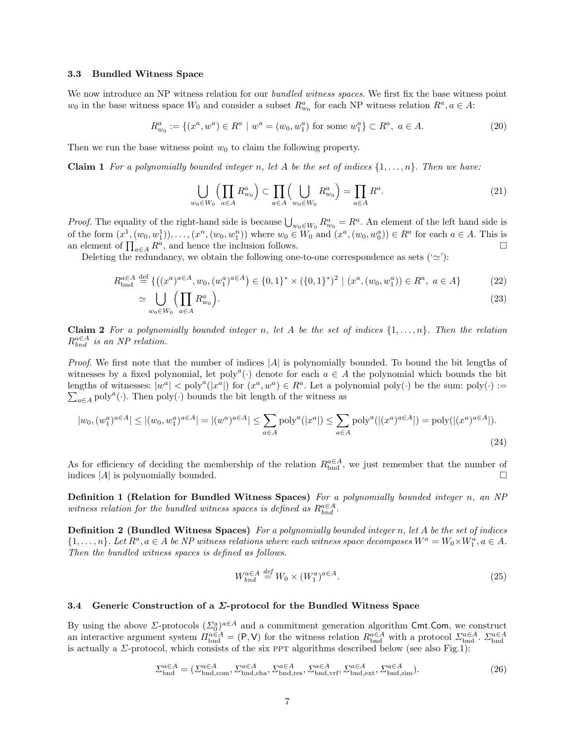#### 3.3 Bundled Witness Space

We now introduce an NP witness relation for our *bundled witness spaces*. We first fix the base witness point  $w_0$  in the base witness space  $W_0$  and consider a subset  $R_{w_0}^a$  for each NP witness relation  $R^a, a \in A$ :

$$
R_{w_0}^a := \{(x^a, w^a) \in R^a \mid w^a = (w_0, w_1^a) \text{ for some } w_1^a\} \subset R^a, \ a \in A. \tag{20}
$$

Then we run the base witness point  $w_0$  to claim the following property.

**Claim 1** For a polynomially bounded integer n, let A be the set of indices  $\{1, \ldots, n\}$ . Then we have:

$$
\bigcup_{w_0 \in W_0} \left( \prod_{a \in A} R_{w_0}^a \right) \subset \prod_{a \in A} \left( \bigcup_{w_0 \in W_0} R_{w_0}^a \right) = \prod_{a \in A} R^a.
$$
 (21)

*Proof.* The equality of the right-hand side is because  $\bigcup_{w_0 \in W_0} R_{w_0}^a = R^a$ . An element of the left hand side is of the form  $(x^1, (w_0, w_1^1)), \ldots, (x^n, (w_0, w_1^n))$  where  $w_0 \in W_0$  and  $(x^a, (w_0, w_0^a)) \in R^a$  for each  $a \in A$ . This is an element of  $\prod_{a \in A} R^a$ , and hence the inclusion follows.

Deleting the redundancy, we obtain the following one-to-one correspondence as sets  $(\simeq)$ :

$$
R_{\text{bnd}}^{a \in A} \stackrel{\text{def}}{=} \{ ((x^a)^{a \in A}, w_0, (w_1^a)^{a \in A}) \in \{0, 1\}^* \times (\{0, 1\}^*)^2 \mid (x^a, (w_0, w_1^a)) \in R^a, a \in A \}
$$
(22)

$$
\simeq \bigcup_{w_0 \in W_0} \left(\prod_{a \in A} R_{w_0}^a\right). \tag{23}
$$

**Claim 2** For a polynomially bounded integer n, let A be the set of indices  $\{1, \ldots, n\}$ . Then the relation  $R_{bnd}^{a\in A}$  is an NP relation.

Proof. We first note that the number of indices |A| is polynomially bounded. To bound the bit lengths of witnesses by a fixed polynomial, let  $\text{poly}^a(\cdot)$  denote for each  $a \in A$  the polynomial which bounds the bit lengths of witnesses:  $|w^a| < \text{poly}^a(|x^a|)$  for  $(x^a, w^a) \in R^a$ . Let a polynomial  $\text{poly}(\cdot)$  be the sum:  $\text{poly}(\cdot) :=$  $\sum_{a \in A} \text{poly}^a(\cdot)$ . Then  $\text{poly}(\cdot)$  bounds the bit length of the witness as

$$
|w_0, (w_1^a)^{a \in A}| \le |(w_0, w_1^a)^{a \in A}| = |(w^a)^{a \in A}| \le \sum_{a \in A} \text{poly}^a(|x^a|) \le \sum_{a \in A} \text{poly}^a(|(x^a)^{a \in A}|) = \text{poly}(|(x^a)^{a \in A}|).
$$
\n(24)

As for efficiency of deciding the membership of the relation  $R_{\text{bnd}}^{a\in A}$ , we just remember that the number of indices  $|A|$  is polynomially bounded.

Definition 1 (Relation for Bundled Witness Spaces) For a polynomially bounded integer n, an NP witness relation for the bundled witness spaces is defined as  $R_{bnd}^{a \in A}$ .

**Definition 2 (Bundled Witness Spaces)** For a polynomially bounded integer n, let A be the set of indices  $\{1,\ldots,n\}$ . Let  $R^a$ ,  $a \in A$  be NP witness relations where each witness space decomposes  $W^a = W_0 \times W_1^a$ ,  $a \in A$ . Then the bundled witness spaces is defined as follows.

$$
W_{bnd}^{a\in A} \stackrel{def}{=} W_0 \times (W_1^a)^{a\in A}.\tag{25}
$$

### 3.4 Generic Construction of a  $\Sigma$ -protocol for the Bundled Witness Space

By using the above  $\Sigma$ -protocols  $(\Sigma_0^a)^{a \in A}$  and a commitment generation algorithm Cmt.Com, we construct an interactive argument system  $\Pi_{\text{bnd}}^{a\in A} = (\mathsf{P}, \mathsf{V})$  for the witness relation  $R_{\text{bnd}}^{a\in A}$  with a protocol  $\Sigma_{\text{bnd}}^{a\in A}$ .  $\Sigma_{\text{bnd}}^{a\in A}$  is actually a  $\Sigma$ -protocol, which consists of the six PPT algor

$$
\Sigma_{\text{bnd}}^{\alpha \in A} = (\Sigma_{\text{bnd}, \text{com}}^{\alpha \in A}, \Sigma_{\text{bnd}, \text{cha}}^{\alpha \in A}, \Sigma_{\text{bnd}, \text{res}}^{\alpha \in A}, \Sigma_{\text{bnd}, \text{surf}}^{\alpha \in A}, \Sigma_{\text{bnd}, \text{sim}}^{\alpha \in A})
$$
 (26)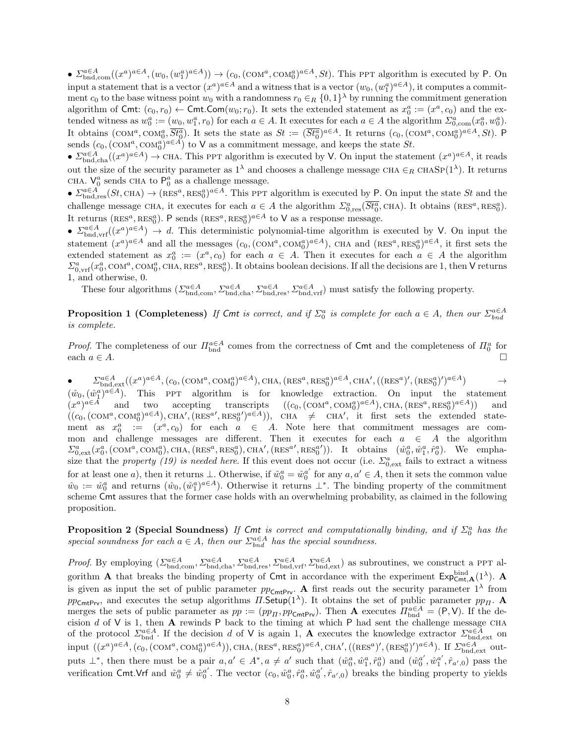•  $\Sigma_{\text{bnd,com}}^{a\in A}((x^a)^{a\in A}, (w_0, (w_1^a)^{a\in A})) \to (c_0, (\text{COM}^a, \text{COM}^a_0)^{a\in A}, St)$ . This PPT algorithm is executed by P. On input a statement that is a vector  $(x^a)^{a \in A}$  and a witness that is a vector  $(w_0, (w_1^a)^{a \in A})$ , it computes a commitment  $c_0$  to the base witness point  $w_0$  with a randomness  $r_0 \in_R \{0,1\}^{\lambda}$  by running the commitment generation algorithm of Cmt:  $(c_0, r_0) \leftarrow$  Cmt.Com $(w_0; r_0)$ . It sets the extended statement as  $x_0^a := (x^a, c_0)$  and the extended witness as  $w_0^a := (w_0, w_1^a, r_0)$  for each  $a \in A$ . It executes for each  $a \in A$  the algorithm  $\Sigma_{0, \text{com}}^a(x_0^a, w_0^a)$ . It obtains  $(\text{COM}^a, \text{COM}^a_0, \overline{St^a_0})$ . It sets the state as  $St := (\overline{St^a_0})^{a \in A}$ . It returns  $(c_0, (\text{COM}^a, \text{COM}^a_0)^{a \in A}, St)$ . P sends  $(c_0,(\text{COM}^a,\text{COM}^a_0)^{a\in A})$  to V as a commitment message, and keeps the state  $St$ .

•  $\sum_{\text{bnd},\text{cha}}^{a\in A}((x^a)^{a\in A})\to \text{CHA}$ . This PPT algorithm is executed by V. On input the statement  $(x^a)^{a\in A}$ , it reads out the size of the security parameter as  $1^{\lambda}$  and chooses a challenge message CHA  $\in_R$  CHASP( $1^{\lambda}$ ). It returns CHA.  $V_0^a$  sends CHA to  $P_0^a$  as a challenge message.

 $\blacktriangleright$   $\Sigma_{\text{bnd,res}}^{a \in A}(St, \text{CHA}) \to (\text{RES}^a, \text{RES}_0^a)^{a \in A}$ . This PPT algorithm is executed by P. On input the state St and the challenge message CHA, it executes for each  $a \in A$  the algorithm  $\sum_{0, \text{res}}^a (\overline{St_0^a}, \text{CHA})$ . It obtains  $(\text{RES}^a, \text{RES}^a_0)$ . It returns (RES<sup>a</sup>, RES<sub>0</sub><sup>a</sup>). P sends (RES<sup>a</sup>, RES<sub>0</sub><sup>a</sup>)<sup> $a \in A$ </sup> to **V** as a response message.

•  $\sum_{\text{bnd},\text{vrf}}^{a\in A}((x^a)^{a\in A}) \to d$ . This deterministic polynomial-time algorithm is executed by V. On input the statement  $(x^a)^{a\in A}$  and all the messages  $(c_0,(\text{COM}^a,\text{COM}^a_0)^{a\in A})$ , CHA and  $(\text{RES}^a,\text{RES}^a_0)^{a\in A}$ , it first sets the extended statement as  $x_0^a := (x^a, c_0)$  for each  $a \in A$ . Then it executes for each  $a \in A$  the algorithm  $\sum_{0,\rm{vrf}}^{a}(x_0^a, \rm{COM}^a, \rm{COM}_0^a, \rm{CHA}, \rm{RES}^a, \rm{RES}^a_0).$  It obtains boolean decisions. If all the decisions are 1, then V returns 1, and otherwise, 0.

These four algorithms  $(\Sigma_{\text{bnd},\text{com}}^{a \in A}, \Sigma_{\text{bnd},\text{ch}}^{a \in A}, \Sigma_{\text{bnd},\text{res}}^{a \in A}, \Sigma_{\text{bnd},\text{vrf}}^{a \in A})$  must satisfy the following property.

**Proposition 1 (Completeness)** If Cmt is correct, and if  $\Sigma_0^a$  is complete for each  $a \in A$ , then our  $\Sigma_{bnd}^{a \in A}$ is complete.

*Proof.* The completeness of our  $\prod_{b=1}^{a \in A}$  comes from the correctness of Cmt and the completeness of  $\prod_{0}^{a}$  for each  $a \in A$ .

 $\bullet$   $\qquad \qquad \Sigma_{\text{bnd,ext}}^{a\in A}((x^a)^{a\in A}, (c_0, (\text{COM}^a, \text{COM}^a_0)^{a\in A}), \text{CHA}, (\text{RES}^a, \text{RES}^a_0)^{a\in A}, \text{CHA}', ((\text{RES}^a)', (\text{RES}^a)^{\prime})^{a\in A}) \qquad \qquad \rightarrow$  $(\hat{w}_0, (\hat{w}_1^a)^{a \in A})$ . This PPT algorithm is for knowledge extraction. On input the statement  $(x^a)$  $accepting$  transcripts  $, \text{COM}_0^a)^{a \in A}$ ), CHA,  $(\text{RES}^a, \text{RES}_0^a)^{a \in A}$ ) and  $((c_0,(\text{COM}^a,\text{COM}^a_0)^{a\in A}),\text{CHA}',(\text{RES}^{a'},\text{RES}^{a'})^{a\in A}))$ , CHA  $\neq$  CHA', it first sets the extended statement as  $x_0^a$  :=  $(x^a, c_0)$  for each  $a \in A$ . Note here that commitment messages are common and challenge messages are different. Then it executes for each  $a \in A$  the algorithm  $\Sigma_{0,ext}^a(x_0^a,(\text{COM}^a,\text{COM}^a_0),\text{CHA},(\text{RES}^a,\text{RES}^a_0),\text{CHA}',(\text{RES}^{a'},\text{RES}^{a'}_0)).$  It obtains  $(\hat{w}_0^a,\hat{w}_1^a,\hat{r}_0^a)$ . We emphasize that the property (19) is needed here. If this event does not occur (i.e.  $\Sigma_{0,ext}^a$  fails to extract a witness for at least one a), then it returns  $\perp$ . Otherwise, if  $\hat{w}_0^a = \hat{w}_0^{a'}$  for any  $a, a' \in A$ , then it sets the common value  $\hat{w}_0 := \hat{w}_0^a$  and returns  $(\hat{w}_0, (\hat{w}_1^a)^{a \in A})$ . Otherwise it returns  $\perp^*$ . The binding property of the commitment scheme Cmt assures that the former case holds with an overwhelming probability, as claimed in the following proposition.

**Proposition 2 (Special Soundness)** If Cmt is correct and computationally binding, and if  $\Sigma_0^a$  has the special soundness for each  $a \in A$ , then our  $\sum_{b=1}^{a \in A}$  has the special soundness.

*Proof.* By employing  $(\Sigma_{\text{bnd,com}}^{\alpha \in A}, \Sigma_{\text{bnd,cha}}^{\alpha \in A}, \Sigma_{\text{bnd,ver}}^{\alpha \in A}, \Sigma_{\text{bnd,ert}}^{\alpha \in A}, \Sigma_{\text{bnd,ext}}^{\alpha \in A})$  as subroutines, we construct a PPT algorithm **A** that breaks the binding property of Cmt in accordance with the experiment  $Exp_{\text{Cmt},\mathbf{A}}^{\text{bind}}(1^{\lambda})$ . **A** is given as input the set of public parameter  $pp_{\text{CmtPrv}}$ . A first reads out the security parameter  $1^{\lambda}$  from  $pp_{\text{CmtPrv}}$ , and executes the setup algorithms  $\Pi$ . Setup(1<sup> $\lambda$ </sup>). It obtains the set of public parameter  $pp_H$ . A merges the sets of public parameter as  $pp := (pp_H, pp_{\text{CmtPiv}})$ . Then **A** executes  $\Pi_{\text{bnd}}^{\alpha \in A} = (P, V)$ . If the decision d of  $V$  is 1, then  $A$  rewinds P back to the timing at which P had sent the challenge message CHA of the protocol  $\Sigma_{\text{bnd}}^{\alpha \in A}$ . If the decision d of V is again 1, **A** executes the knowledge extractor  $\Sigma_{\text{bnd,ext}}^{\alpha \in A}$  on  $\text{input } ((x^a)^{a \in A}, (c_0, (\text{COM}^a, \text{COM}^a_0)^{a \in A})), \text{CHA}, (\text{RES}^a, \text{RES}^a_0)^{a \in A}, \text{CHA'}, ((\text{RES}^a)', (\text{RES}^a)^{\prime})^{a \in A})$ . If  $\Sigma_{\text{bnd,ext}}^{a \in A}$  outputs  $\perp^*$ , then there must be a pair  $a, a' \in A^*$ ,  $a \neq a'$  such that  $(\hat{w}_0^a, \hat{w}_1^a, \hat{r}_0^a)$  and  $(\hat{w}_0^{a'}, \hat{w}_1^{a'}, \hat{r}_{a',0})$  pass the verification Cmt.Vrf and  $\hat{w}_0^a \neq \hat{w}_0^{a'}$ . The vector  $(c_0, \hat{w}_0^a, \hat{r}_0^a, \hat{w}_0^{a'}, \hat{r}_{a',0})$  breaks the binding property to yields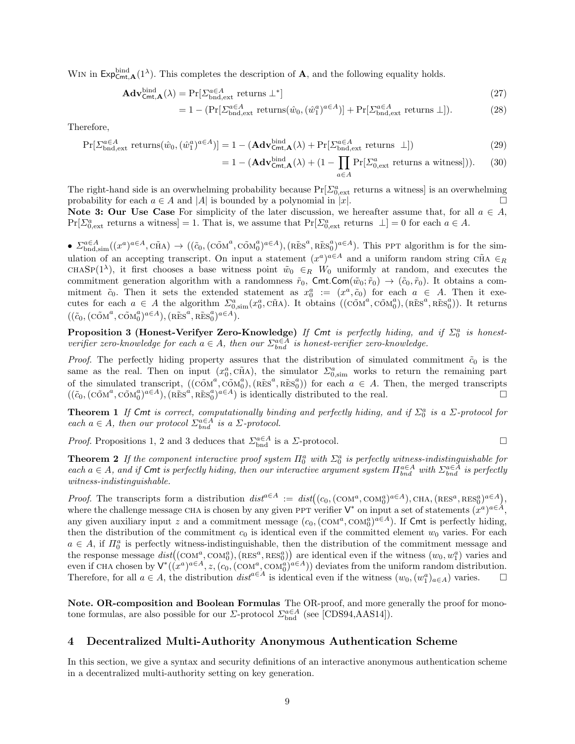WIN in  $\mathsf{Exp}^{\text{bind}}_{\mathsf{Cmt},\mathbf{A}}(1^{\lambda})$ . This completes the description of **A**, and the following equality holds.

$$
\mathbf{Adv}_{\mathsf{Cmt},\mathbf{A}}^{\text{bind}}(\lambda) = \Pr[\Sigma_{\text{bnd,ext}}^{\alpha \in A} \text{ returns } \bot^*]
$$
\n(27)

$$
= 1 - (\Pr[\Sigma_{\text{bnd,ext}}^{\alpha \in A} \text{ returns}(\hat{w}_0, (\hat{w}_1^a)^{\alpha \in A})] + \Pr[\Sigma_{\text{bnd,ext}}^{\alpha \in A} \text{ returns } \bot]). \tag{28}
$$

Therefore,

$$
\Pr[\Sigma_{\text{bnd,ext}}^{a\in A} \text{ returns}(\hat{w}_0, (\hat{w}_1^a)^{a\in A})] = 1 - (\mathbf{Adv}_{\text{Cmt}, \mathbf{A}}^{\text{bind}}(\lambda) + \Pr[\Sigma_{\text{bnd,ext}}^{a\in A} \text{ returns } \perp])
$$
(29)

$$
= 1 - (\mathbf{Adv}_{\mathsf{Cmt},\mathbf{A}}^{\text{bind}}(\lambda) + (1 - \prod_{a \in A} \Pr[\Sigma_{0,\text{ext}}^a \text{ returns a witness}])). \tag{30}
$$

The right-hand side is an overwhelming probability because  $Pr[\Sigma_{0,ext}^a$  returns a witness is an overwhelming probability for each  $a \in A$  and |A| is bounded by a polynomial in |x|.

Note 3: Our Use Case For simplicity of the later discussion, we hereafter assume that, for all  $a \in A$ ,  $Pr[\Sigma_{0,ext}^a$  returns a witness = 1. That is, we assume that  $Pr[\Sigma_{0,ext}^a$  returns  $\bot] = 0$  for each  $a \in A$ .

•  $\sum_{\text{bnd,sim}}^{\alpha \in A} ((x^a)^{\alpha \in A}, \tilde{\text{CHA}}) \rightarrow ((\tilde{c}_0, (\tilde{\text{COM}}^a, \tilde{\text{COM}}^a)^{\alpha \in A}), (\tilde{\text{RES}}^a, \tilde{\text{RES}}^a)^{\alpha \in A}).$  This PPT algorithm is for the simulation of an accepting transcript. On input a statement  $(x^a)^{a \in A}$  and a uniform random string CHA  $\in_R$ CHASP(1<sup> $\lambda$ </sup>), it first chooses a base witness point  $\tilde{w}_0 \in_R W_0$  uniformly at random, and executes the commitment generation algorithm with a randomness  $\tilde{r}_0$ , Cmt.Com $(\tilde{w}_0; \tilde{r}_0) \rightarrow (\tilde{c}_0, \tilde{r}_0)$ . It obtains a commitment  $\tilde{c}_0$ . Then it sets the extended statement as  $x_0^a := (x^a, \tilde{c}_0)$  for each  $a \in A$ . Then it executes for each  $a \in A$  the algorithm  $\Sigma_{0,\text{sim}}^a(x_0^a, c\tilde{m}A)$ . It obtains  $((c\tilde{\Omega}M^a, c\tilde{\Omega}M_0^a), (R\tilde{E}S^a, R\tilde{E}S_0^a))$ . It returns  $((\tilde{c}_0,(\tilde{\text{COM}}^a,\tilde{\text{COM}}_0^a)^{a\in A}),(\tilde{\text{RES}}^a,\tilde{\text{RES}}_0^a)^{a\in A}).$ 

**Proposition 3 (Honest-Verifyer Zero-Knowledge)** If Cmt is perfectly hiding, and if  $\Sigma_0^a$  is honestverifier zero-knowledge for each  $a \in A$ , then our  $\sum_{b}^{a \in A}$  is honest-verifier zero-knowledge.

*Proof.* The perfectly hiding property assures that the distribution of simulated commitment  $\tilde{c}_0$  is the same as the real. Then on input  $(x_0^a, c\tilde{H}A)$ , the simulator  $\Sigma_{0,\text{sim}}^a$  works to return the remaining part of the simulated transcript,  $((\tilde{COM}^a, \tilde{COM}^a_0), (\tilde{RES}^a, \tilde{RES}^a_0))$  for each  $a \in A$ . Then, the merged transcripts  $((\tilde{c}_0,(\tilde{\text{COM}}^a,\tilde{\text{COM}}^a))^{\alpha\in A}),(\tilde{\text{RES}}^a,\tilde{\text{RES}}^a_0)^{\alpha\in A})$  is identically distributed to the real.

**Theorem 1** If Cmt is correct, computationally binding and perfectly hiding, and if  $\Sigma_0^a$  is a  $\Sigma$ -protocol for each  $a \in A$ , then our protocol  $\sum_{bnd}^{a \in A}$  is a  $\Sigma$ -protocol.

*Proof.* Propositions 1, 2 and 3 deduces that  $\sum_{b}^{a \in A}$  is a  $\Sigma$ -protocol.

$$
\Box
$$

**Theorem 2** If the component interactive proof system  $\Pi_0^a$  with  $\Sigma_0^a$  is perfectly witness-indistinguishable for each  $a \in A$ , and if Cmt is perfectly hiding, then our interactive argument system  $\prod_{b=1}^{a \in A}$  with  $\Sigma_{bnd}^{a \in A}$  is perfectly witness-indistinguishable.

*Proof.* The transcripts form a distribution  $dist^{a\in A} := dist((c_0, (\text{COM}^a, \text{COM}^a_0)^{a\in A}), \text{CHA}, (\text{RES}^a, \text{RES}^a_0)^{a\in A}),$ where the challenge message CHA is chosen by any given PPT verifier  $\mathsf{V}^*$  on input a set of statements  $(x^a)^{a \in A}$ , any given auxiliary input z and a commitment message  $(c_0,(\text{COM}^a,\text{COM}^a_0)^{a\in A})$ . If Cmt is perfectly hiding, then the distribution of the commitment  $c_0$  is identical even if the committed element  $w_0$  varies. For each  $a \in A$ , if  $\Pi_0^a$  is perfectly witness-indistinguishable, then the distribution of the commitment message and the response message  $dist((com^a, com^a_0), (RES^a, RES^a_0))$  are identical even if the witness  $(w_0, w_1^a)$  varies and even if CHA chosen by  $V^*((x^a)^{a\in A}, z, (c_0, (\text{COM}_2^a, \text{COM}_0^a)^{a\in A}))$  deviates from the uniform random distribution. Therefore, for all  $a \in A$ , the distribution  $dist^{a \in A}$  is identical even if the witness  $(w_0, (w_1^a)_{a \in A})$  varies.  $\Box$ 

Note. OR-composition and Boolean Formulas The OR-proof, and more generally the proof for monotone formulas, are also possible for our *Σ*-protocol  $\sum_{\text{bnd}}^{\alpha \in A}$  (see [CDS94,AAS14]).

# 4 Decentralized Multi-Authority Anonymous Authentication Scheme

In this section, we give a syntax and security definitions of an interactive anonymous authentication scheme in a decentralized multi-authority setting on key generation.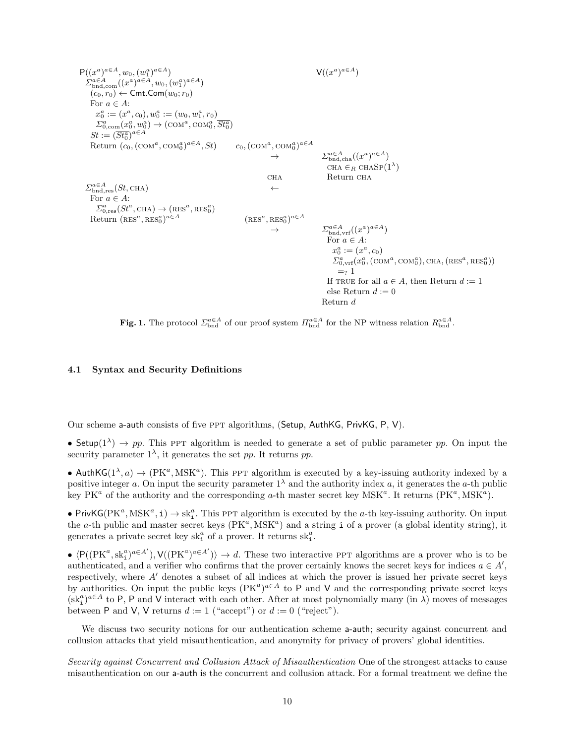$$
P((x^{a})^{a\in A}, w_{0}, (w_{1}^{a})^{a\in A})
$$
  
\n
$$
\sum_{\substack{b \text{odd}, \text{com}}} (x^{a})^{a\in A}, w_{0}, (w_{1}^{a})^{a\in A})
$$
  
\n
$$
(c_{0}, r_{0}) \leftarrow \text{Cmt}.\text{Com}(w_{0}; r_{0})
$$
  
\nFor  $a \in A$ :  
\n
$$
x_{0}^{a} := (x^{a}, c_{0}), w_{0}^{a} := (w_{0}, w_{1}^{a}, r_{0})
$$
  
\n
$$
\sum_{\substack{a, \text{com}}} (x_{0}^{a})^{a\in A} \rightarrow (\text{COM}^{a}, \text{COM}^{a})^{a\in A}, St)
$$
  
\n
$$
St := (\overline{St}_{0}^{a})^{a\in A}
$$
  
\nReturn  $(c_{0}, (\text{COM}^{a}, \text{COM}^{a})^{a\in A}, St)$   $c_{0}, (\text{COM}^{a}, \text{COM}^{a})^{a\in A}$   
\n
$$
\rightarrow \qquad \qquad \sum_{\substack{b \text{odd}, \text{res}} (s_{b}, \text{CHA})} (s_{b}, \text{CHA})
$$
  
\n
$$
\sum_{\substack{b \text{odd}, \text{res}} (s_{b}, \text{CHA})} (s_{b}, \text{CHA})
$$
  
\n
$$
\rightarrow \qquad \qquad \sum_{\substack{b \text{odd}, \text{res}} (s_{b}, \text{CHA})} (s_{b}, \text{RMS}_{0})^{a\in A}
$$
  
\n
$$
\rightarrow \qquad \qquad \sum_{\substack{b \text{odd}, \text{res}} (s_{b}, \text{RMS}_{0}^{a})^{a\in A}} (s_{b}, \text{RMS}_{0}^{a})^{a\in A}
$$
  
\n
$$
\rightarrow \qquad \qquad \sum_{\substack{b \text{odd}, \text{ord}} (x^{a})^{a\in A} (x^{a})^{a\in A}
$$
  
\n
$$
\rightarrow \qquad \qquad \sum_{\substack{b \text{odd}, \text{ord}} (s^{a}, \text{CHX}) \neq (s^{a}, \text{RMS}_{0}^{a})^{a\in A}} (s_{b}, \text{RMS}_{0}
$$

**Fig. 1.** The protocol  $\Sigma_{\text{bnd}}^{\alpha \in A}$  of our proof system  $\Pi_{\text{bnd}}^{\alpha \in A}$  for the NP witness relation  $R_{\text{bnd}}^{\alpha \in A}$ .

# 4.1 Syntax and Security Definitions

Our scheme a-auth consists of five ppt algorithms, (Setup, AuthKG, PrivKG, P, V).

• Setup( $1^{\lambda}$ )  $\rightarrow$  pp. This PPT algorithm is needed to generate a set of public parameter pp. On input the security parameter  $1^{\lambda}$ , it generates the set pp. It returns pp.

• AuthKG( $1^{\lambda}, a$ )  $\rightarrow$  (PK<sup>a</sup>, MSK<sup>a</sup>). This PPT algorithm is executed by a key-issuing authority indexed by a positive integer a. On input the security parameter  $1^{\lambda}$  and the authority index a, it generates the a-th public key PK<sup>a</sup> of the authority and the corresponding a-th master secret key MSK<sup>a</sup>. It returns (PK<sup>a</sup>, MSK<sup>a</sup>).

• PrivKG( $PK^a$ ,  $MSK^a$ ,  $i) \rightarrow sk_i^a$ . This PPT algorithm is executed by the *a*-th key-issuing authority. On input the a-th public and master secret keys  $(PK^a, MSK^a)$  and a string i of a prover (a global identity string), it generates a private secret key  $\mathrm{sk}_i^a$  of a prover. It returns  $\mathrm{sk}_i^a.$ 

 $\blacklozenge \langle P((PK^a, sk_1^a)^{a \in A'}) , \mathsf{V}((PK^a)^{a \in A'}) \rangle \rightarrow d$ . These two interactive PPT algorithms are a prover who is to be authenticated, and a verifier who confirms that the prover certainly knows the secret keys for indices  $a \in A'$ , respectively, where  $A'$  denotes a subset of all indices at which the prover is issued her private secret keys by authorities. On input the public keys  $(PK^a)^{a\in A}$  to P and V and the corresponding private secret keys  $(\dot{sk}_i^a)^{a \in A}$  to P, P and V interact with each other. After at most polynomially many (in  $\lambda$ ) moves of messages between P and V, V returns  $d := 1$  ("accept") or  $d := 0$  ("reject").

We discuss two security notions for our authentication scheme a-auth; security against concurrent and collusion attacks that yield misauthentication, and anonymity for privacy of provers' global identities.

Security against Concurrent and Collusion Attack of Misauthentication One of the strongest attacks to cause misauthentication on our a-auth is the concurrent and collusion attack. For a formal treatment we define the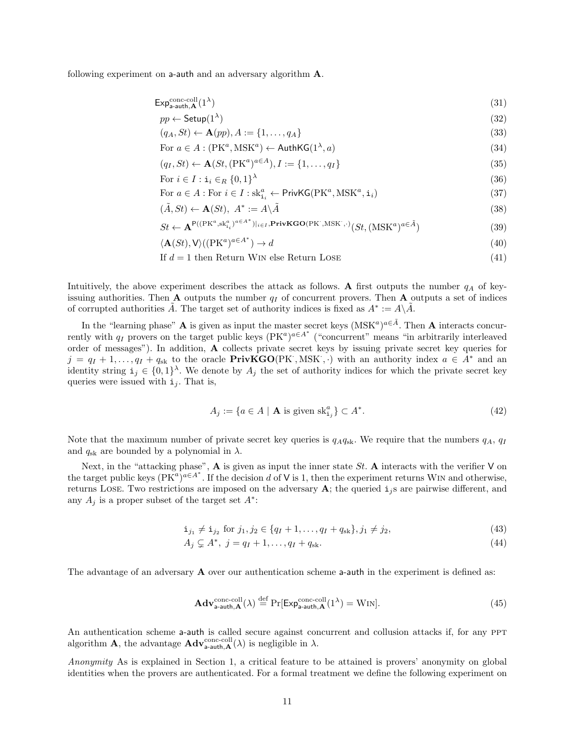following experiment on **a-auth** and an adversary algorithm  $\bf{A}$ .

$$
\mathsf{Exp}_{\mathsf{a}\text{-}\mathsf{auth},\mathbf{A}}^{\text{conc-coll}}(1^{\lambda})\tag{31}
$$

$$
pp \leftarrow \mathsf{Setup}(1^{\lambda})\tag{32}
$$

$$
(q_A, St) \leftarrow \mathbf{A}(pp), A := \{1, \dots, q_A\} \tag{33}
$$

For 
$$
a \in A : (\text{PK}^a, \text{MSK}^a) \leftarrow \text{AuthKG}(1^\lambda, a)
$$
 (34)

$$
(q_I, St) \leftarrow \mathbf{A}(St, (\mathbf{P}K^a)^{a \in A}), I := \{1, \dots, q_I\}
$$
\n
$$
(35)
$$

For  $i \in I : \mathtt{i}_i \in_R \{0,1\}^{\lambda}$ (36)

For 
$$
a \in A : \text{For } i \in I : \text{sk}_{i_i}^a \leftarrow \text{PrivKG}(\text{PK}^a, \text{MSK}^a, \textbf{i}_i)
$$
 (37)

$$
(\tilde{A}, St) \leftarrow \mathbf{A}(St), \ A^* := A \backslash \tilde{A} \tag{38}
$$

$$
St \leftarrow \mathbf{A}^{\mathsf{P}((\text{PK}^a, \text{sk}^a_{i_i})^{a \in A^*})|_{i \in I}, \text{PrivKGO}(\text{PK}^{\cdot}, \text{MSK}^{\cdot}, \cdot)}(St, (\text{MSK}^a)^{a \in \tilde{A}})
$$
\n(39)

$$
\langle \mathbf{A}(St), \mathbf{V} \rangle ((\mathbf{P} \mathbf{K}^a)^{a \in A^*}) \to d \tag{40}
$$

If 
$$
d = 1
$$
 then Return Win else Return Lose (41)

Intuitively, the above experiment describes the attack as follows. A first outputs the number  $q_A$  of keyissuing authorities. Then  $A$  outputs the number  $q_I$  of concurrent provers. Then  $A$  outputs a set of indices of corrupted authorities  $\tilde{A}$ . The target set of authority indices is fixed as  $A^* := A \backslash \tilde{A}$ .

In the "learning phase" **A** is given as input the master secret keys  $(MSK^a)^{a \in \tilde{A}}$ . Then **A** interacts concurrently with  $q_I$  provers on the target public keys  $(PK^a)^{a \in A^*}$  ("concurrent" means "in arbitrarily interleaved order of messages"). In addition, A collects private secret keys by issuing private secret key queries for  $j = q_I + 1, \ldots, q_I + q_{sk}$  to the oracle **PrivKGO**(PK, MSK, ) with an authority index  $a \in A^*$  and an identity string  $\mathbf{i}_j \in \{0,1\}^{\lambda}$ . We denote by  $A_j$  the set of authority indices for which the private secret key queries were issued with  $i_j$ . That is,

$$
A_j := \{ a \in A \mid \mathbf{A} \text{ is given sk}_{i_j}^a \} \subset A^*.
$$
\n
$$
(42)
$$

Note that the maximum number of private secret key queries is  $q_Aq_{s k}$ . We require that the numbers  $q_A$ ,  $q_I$ and  $q_{sk}$  are bounded by a polynomial in  $\lambda$ .

Next, in the "attacking phase",  $\bf{A}$  is given as input the inner state St.  $\bf{A}$  interacts with the verifier V on the target public keys  $(PK^a)^{a \in A^*}$ . If the decision d of V is 1, then the experiment returns WIN and otherwise, returns LOSE. Two restrictions are imposed on the adversary  $\bf{A}$ ; the queried  $\bf{i}$ <sub>j</sub>s are pairwise different, and any  $A_j$  is a proper subset of the target set  $A^*$ :

$$
\mathbf{i}_{j_1} \neq \mathbf{i}_{j_2} \text{ for } j_1, j_2 \in \{q_I + 1, \dots, q_I + q_{sk}\}, j_1 \neq j_2,\tag{43}
$$

$$
A_j \subsetneq A^*, \ j = q_I + 1, \dots, q_I + q_{\rm sk}.\tag{44}
$$

The advantage of an adversary A over our authentication scheme a-auth in the experiment is defined as:

$$
\mathbf{Adv}_{\mathsf{a}\text{-}\mathsf{auth},\mathbf{A}}^{\text{conc-coll}}(\lambda) \stackrel{\text{def}}{=} \Pr[\mathsf{Exp}_{\mathsf{a}\text{-}\mathsf{auth},\mathbf{A}}^{\text{conc-coll}}(1^{\lambda}) = \text{WIN}].\tag{45}
$$

An authentication scheme a-auth is called secure against concurrent and collusion attacks if, for any PPT algorithm **A**, the advantage  $\mathbf{Adv}_{\mathsf{a}\text{-}\mathsf{auth},\mathbf{A}}^{\text{conc-coll}}(\lambda)$  is negligible in  $\lambda$ .

Anonymity As is explained in Section 1, a critical feature to be attained is provers' anonymity on global identities when the provers are authenticated. For a formal treatment we define the following experiment on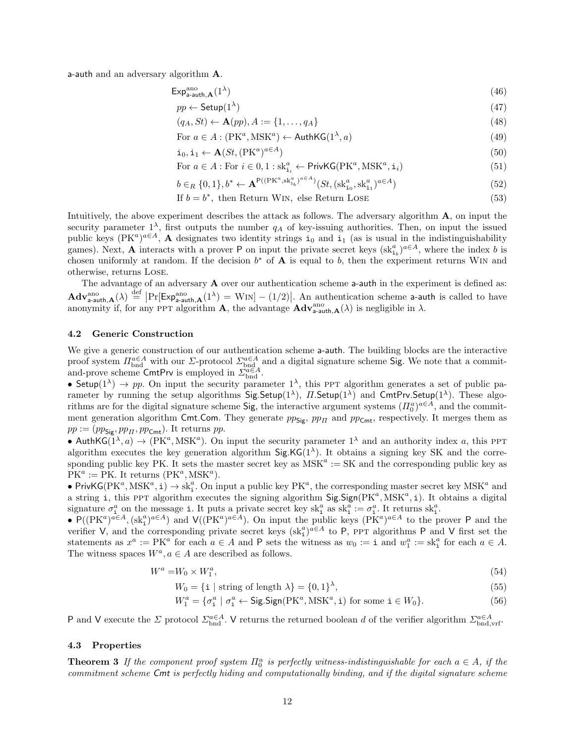a-auth and an adversary algorithm A.

$$
\mathsf{Exp}_{\mathsf{a} \text{-auth}, \mathbf{A}}^{\text{ano}}(1^{\lambda}) \tag{46}
$$

$$
pp \leftarrow \mathsf{Setup}(1^{\lambda})\tag{47}
$$

$$
(q_A, St) \leftarrow \mathbf{A}(pp), A := \{1, \dots, q_A\} \tag{48}
$$

For 
$$
a \in A : (PK^a, MSK^a) \leftarrow \text{AuthKG}(1^{\lambda}, a)
$$
 (49)

$$
\mathbf{i}_0, \mathbf{i}_1 \leftarrow \mathbf{A}(St, (\mathbf{P}K^a)^{a \in A}) \tag{50}
$$

For 
$$
a \in A
$$
: For  $i \in 0, 1 : sk_{i_i}^a \leftarrow$ PrivKG $(PK^a, MSK^a, i_i)$  (51)

$$
b \in_R \{0, 1\}, b^* \leftarrow \mathbf{A}^{\mathsf{P}((\mathrm{P}K^a, \mathrm{sk}_{i_b}^a)^{a \in A})}(St, (\mathrm{sk}_{i_0}^a, \mathrm{sk}_{i_1}^a)^{a \in A})
$$
(52)

If 
$$
b = b^*
$$
, then Return Win, else Return LoSE (53)

Intuitively, the above experiment describes the attack as follows. The adversary algorithm A, on input the security parameter  $1^{\lambda}$ , first outputs the number  $q_A$  of key-issuing authorities. Then, on input the issued public keys  $(PK^a)^{a\in A}$ , A designates two identity strings  $i_0$  and  $i_1$  (as is usual in the indistinguishability games). Next, **A** interacts with a prover P on input the private secret keys  $(sk_{i_b}^a)^{a \in A}$ , where the index b is chosen uniformly at random. If the decision  $b^*$  of **A** is equal to b, then the experiment returns WIN and otherwise, returns Lose.

The advantage of an adversary **A** over our authentication scheme a-auth in the experiment is defined as:  $\mathbf{Adv}_{\mathsf{a}\text{-auth}}^{\text{ano}}(\lambda) \stackrel{\text{def}}{=} \left| \Pr[\mathsf{Exp}_{\mathsf{a}\text{-auth}}^{\text{ano}}(\lambda) = \text{WIN}] - (1/2) \right|$ . An authentication scheme a-auth is called to have anonymity if, for any PPT algorithm **A**, the advantage  $\mathbf{Adv}_{\mathsf{a}\text{-}\mathsf{auth},\mathbf{A}}^{ano}(\lambda)$  is negligible in  $\lambda$ .

#### 4.2 Generic Construction

We give a generic construction of our authentication scheme a-auth. The building blocks are the interactive proof system  $\Pi_{\text{bnd}}^{a\in A}$  with our  $\Sigma$ -protocol  $\Sigma_{\text{bnd}}^{a\in A}$  and a digital signature scheme Sig. We note that a commitand-prove scheme CmtPrv is employed in  $\mathcal{L}_{bnd}^{\alpha \in A}$ .

• Setup( $1^{\lambda}$ )  $\rightarrow$  pp. On input the security parameter  $1^{\lambda}$ , this PPT algorithm generates a set of public parameter by running the setup algorithms  $SignSetup(1^{\lambda})$ ,  $II$ . Setup $(1^{\lambda})$  and CmtPrv. Setup $(1^{\lambda})$ . These algorithms are for the digital signature scheme Sig, the interactive argument systems  $(H_0^a)^{a\in A}$ , and the commitment generation algorithm Cmt.Com. They generate  $pp_{\text{Sig}}$ ,  $pp_{\Pi}$  and  $pp_{\text{Cmt}}$ , respectively. It merges them as  $pp := (pp_{\text{Sig}}, pp_{\Pi}, pp_{\text{Cmt}})$ . It returns pp.

• AuthKG( $1^{\lambda}, a$ )  $\rightarrow$  (PK<sup>a</sup>, MSK<sup>a</sup>). On input the security parameter  $1^{\lambda}$  and an authority index a, this PPT algorithm executes the key generation algorithm  $Sig.KG(1^{\lambda})$ . It obtains a signing key SK and the corresponding public key PK. It sets the master secret key as  $MSK^a := SK$  and the corresponding public key as  $PK^a := PK.$  It returns  $(PK^a, MSK^a)$ .

• PrivKG( $PK^a$ ,  $MSK^a$ ,  $\textbf{i}) \rightarrow sk^a_i$ . On input a public key  $PK^a$ , the corresponding master secret key  $MSK^a$  and a string i, this PPT algorithm executes the signing algorithm  $\text{Sig}.Sign(PK^a, MSK^a, i)$ . It obtains a digital signature  $\sigma_i^a$  on the message i. It puts a private secret key  $sk_i^a$  as  $sk_i^a := \sigma_i^a$ . It returns  $sk_i^a$ .

•  $P((PK^a)^{a\in A}, (sk_1^a)^{a\in A})$  and  $V((PK^a)^{a\in A})$ . On input the public keys  $(PK^a)^{a\in A}$  to the prover P and the verifier V, and the corresponding private secret keys  $(s k_i^a)^{a \in A}$  to P, ppt algorithms P and V first set the statements as  $x^a := PK^a$  for each  $a \in A$  and P sets the witness as  $w_0 := \mathbf{i}$  and  $w_1^a := \mathbf{sk}_i^a$  for each  $a \in A$ . The witness spaces  $W^a, a \in A$  are described as follows.

$$
W^a = W_0 \times W_1^a,\tag{54}
$$

 $W_0 = \{\texttt{i} \mid \text{string of length } \lambda\} = \{0,1\}^{\lambda}$  $(55)$ 

$$
W_1^a = \{ \sigma_i^a \mid \sigma_i^a \leftarrow \text{Sig.Sign}(\text{PK}^a, \text{MSK}^a, \text{i}) \text{ for some } \text{i} \in W_0 \}. \tag{56}
$$

P and V execute the  $\Sigma$  protocol  $\Sigma_{\text{bnd}}^{a \in A}$ . V returns the returned boolean d of the verifier algorithm  $\Sigma_{\text{bnd,vrf}}^{a \in A}$ .

# 4.3 Properties

**Theorem 3** If the component proof system  $\Pi_0^a$  is perfectly witness-indistinguishable for each  $a \in A$ , if the commitment scheme Cmt is perfectly hiding and computationally binding, and if the digital signature scheme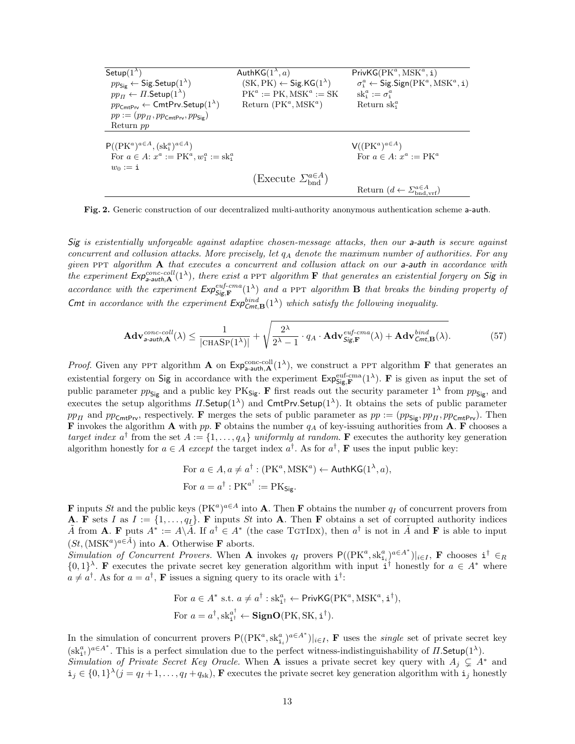| Setup $(1^{\lambda})$                                                   | AuthKG $(1^{\lambda}, a)$                                         | $PrivKG(PK^a, MSK^a, i)$                                                 |
|-------------------------------------------------------------------------|-------------------------------------------------------------------|--------------------------------------------------------------------------|
| $pp_{\mathsf{Sig}} \leftarrow \mathsf{Sig}.\mathsf{Setup}(1^{\lambda})$ | $(SK, PK) \leftarrow$ Sig. KG(1 <sup><math>\lambda</math></sup> ) | $\sigma_i^a \leftarrow$ Sig.Sign(PK <sup>a</sup> , MSK <sup>a</sup> , i) |
| $pp_{\Pi} \leftarrow \Pi$ . Setup $(1^{\lambda})$                       | $PK^a := PK, MSK^a := SK$                                         | $sk_i^a := \sigma_i^a$                                                   |
| $pp_{\text{CmtPrv}} \leftarrow \text{CmtPrv.Setup}(1^{\lambda})$        | Return $(PK^a, MSK^a)$                                            | Return $sk_i^u$                                                          |
| $pp := (pp_{\Pi}, pp_{\text{CmtPiv}}, pp_{\text{Sip}})$                 |                                                                   |                                                                          |
| Return pp                                                               |                                                                   |                                                                          |
| $P((PK^a)^{a\in A}, (sk_i^a)^{a\in A})$                                 |                                                                   | $V((PK^a)^{a\in A})$                                                     |
| For $a \in A$ : $x^a := PK^a, w_1^a := sk_1^a$                          |                                                                   | For $a \in A$ : $x^a := PK^a$                                            |
| $w_0 := \mathbf{i}$                                                     |                                                                   |                                                                          |
|                                                                         |                                                                   |                                                                          |
|                                                                         |                                                                   | Return $(d \leftarrow \sum_{\text{bad}}^{a \in A}$                       |
|                                                                         | $(Execute \Sigma^{a\in A}_{bnd})$                                 |                                                                          |

Fig. 2. Generic construction of our decentralized multi-authority anonymous authentication scheme a-auth.

Sig is existentially unforgeable against adaptive chosen-message attacks, then our a-auth is secure against concurrent and collusion attacks. More precisely, let  $q_A$  denote the maximum number of authorities. For any given PPT algorithm  $A$  that executes a concurrent and collusion attack on our a-auth in accordance with the experiment  $Exp_{a-auth}^{conc-coll}(1^{\lambda})$ , there exist a PPT algorithm **F** that generates an existential forgery on Sig in accordance with the experiment  $Exp_{\mathsf{Sig}, \mathbf{F}}^{euf-cma}(1^{\lambda})$  and a PPT algorithm **B** that breaks the binding property of Cmt in accordance with the experiment  $Exp_{Cmt, \mathbf{B}}^{bind}(1^{\lambda})$  which satisfy the following inequality.

$$
\mathbf{Adv}_{\mathsf{a}\text{-}auth,\mathbf{A}}^{conc\text{-}coll}(\lambda) \le \frac{1}{|\text{CHASP}(1^{\lambda})|} + \sqrt{\frac{2^{\lambda}}{2^{\lambda}-1} \cdot q_{A} \cdot \mathbf{Adv}_{\mathsf{Sig},\mathbf{F}}^{euf\text{-}cma}(\lambda) + \mathbf{Adv}_{\mathsf{Cmt},\mathbf{B}}^{bind}(\lambda)}.
$$
(57)

*Proof.* Given any PPT algorithm **A** on  $Exp_{a-auth, A}^{\text{conc-coll}}(1^{\lambda})$ , we construct a PPT algorithm **F** that generates an existential forgery on Sig in accordance with the experiment  $\mathsf{Exp}_{\mathsf{Sig},\mathbf{F}}^{\text{euf-cma}}(1^{\lambda})$ . **F** is given as input the set of public parameter  $pp_{\text{Sig}}$  and a public key PK<sub>Sig</sub>. F first reads out the security parameter  $1^{\lambda}$  from  $pp_{\text{Sig}}$ , and executes the setup algorithms  $\Pi$ . Setup $(1^{\lambda})$  and CmtPrv. Setup $(1^{\lambda})$ . It obtains the sets of public parameter  $pp_H$  and  $pp_{\text{CmtPiv}}$ , respectively. F merges the sets of public parameter as  $pp := (pp_{\text{Sip}}, pp_H, pp_{\text{CmtPiv}})$ . Then **F** invokes the algorithm **A** with pp. **F** obtains the number  $q_A$  of key-issuing authorities from **A**. **F** chooses a target index  $a^{\dagger}$  from the set  $A := \{1, \ldots, q_A\}$  uniformly at random. **F** executes the authority key generation algorithm honestly for  $a \in A$  except the target index  $a^{\dagger}$ . As for  $a^{\dagger}$ , **F** uses the input public key:

For 
$$
a \in A
$$
,  $a \neq a^{\dagger} : (\text{PK}^a, \text{MSK}^a) \leftarrow \text{AuthKG}(1^{\lambda}, a)$ ,  
For  $a = a^{\dagger} : \text{PK}^{a^{\dagger}} := \text{PK}_{\text{Sig}}.$ 

**F** inputs St and the public keys  $(PK^a)^{a \in A}$  into **A**. Then **F** obtains the number  $q_I$  of concurrent provers from **A.** F sets I as  $I := \{1, \ldots, q_I\}$ . F inputs St into **A**. Then F obtains a set of corrupted authority indices  $\tilde{A}$  from **A**. **F** puts  $A^* := A \backslash \tilde{A}$ . If  $a^{\dagger} \in A^*$  (the case TGTIDX), then  $a^{\dagger}$  is not in  $\tilde{A}$  and **F** is able to input  $(St, (MSK^a)^{a \in \tilde{A}})$  into **A**. Otherwise **F** aborts.

Simulation of Concurrent Provers. When A invokes  $q_I$  provers  $P((PK^a, sk_{i_i}^a)^{a \in A^*})|_{i \in I}$ , F chooses  $i^{\dagger} \in_R$  $\{0,1\}^{\lambda}$ . **F** executes the private secret key generation algorithm with input i<sup>†</sup> honestly for  $a \in A^*$  where  $a \neq a^{\dagger}$ . As for  $a = a^{\dagger}$ , **F** issues a signing query to its oracle with  $i^{\dagger}$ :

For 
$$
a \in A^*
$$
 s.t.  $a \neq a^{\dagger} : sk_{i\uparrow}^a \leftarrow$ PrivKG(PK<sup>a</sup>, MSK<sup>a</sup>,  $\mathbf{i}^{\dagger}$ ),  
For  $a = a^{\dagger}, sk_{i\uparrow}^{a^{\dagger}} \leftarrow$ SignO(PK, SK,  $\mathbf{i}^{\dagger}$ ).

In the simulation of concurrent provers  $P((PK^a, sk_{i_i}^a)^{a \in A^*})|_{i \in I}$ , **F** uses the *single* set of private secret key  $(\text{sk}_{i\uparrow}^a)^{a\in A^*}$ . This is a perfect simulation due to the perfect witness-indistinguishability of  $\Pi$ . Setup(1<sup> $\lambda$ </sup>). Simulation of Private Secret Key Oracle. When A issues a private secret key query with  $A_j \subsetneq A^*$  and  $\mathbf{i}_j \in \{0,1\}^{\lambda}$   $(j = q_I + 1, \ldots, q_I + q_{sk})$ , **F** executes the private secret key generation algorithm with  $\mathbf{i}_j$  honestly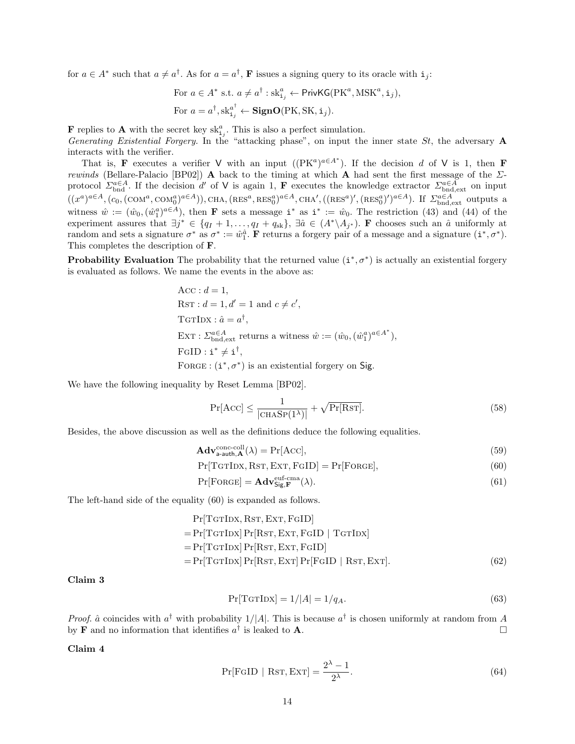for  $a \in A^*$  such that  $a \neq a^{\dagger}$ . As for  $a = a^{\dagger}$ , **F** issues a signing query to its oracle with  $i_j$ :

For 
$$
a \in A^*
$$
 s.t.  $a \neq a^{\dagger} : \text{sk}_{i_j}^a \leftarrow \text{PrivKG}(\text{PK}^a, \text{MSK}^a, \textbf{i}_j),$   
For  $a = a^{\dagger}, \text{sk}_{i_j}^{a^{\dagger}} \leftarrow \text{SignO}(\text{PK}, \text{SK}, \textbf{i}_j).$ 

**F** replies to **A** with the secret key  $\mathrm{sk}_{i,j}^a$ . This is also a perfect simulation.

Generating Existential Forgery. In the "attacking phase", on input the inner state St, the adversary **A** interacts with the verifier.

That is, **F** executes a verifier V with an input  $((PK^a)^{a \in A^*})$ . If the decision d of V is 1, then **F** rewinds (Bellare-Palacio [BP02]) A back to the timing at which A had sent the first message of the  $\Sigma$ protocol  $\Sigma_{\text{bnd}}^{\alpha \in A}$ . If the decision d' of V is again 1, **F** executes the knowledge extractor  $\Sigma_{\text{bnd,ext}}^{\alpha \in A}$  on input  $((x^a)^{a\in A}, (c_0,(\text{COM}^a, \text{COM}^a_0)^{a\in A})), \text{CHA}, (\text{RES}^a, \text{RES}^a_0)^{a\in A}, \text{CHA}', ((\text{RES}^a)', (\text{RES}^a_0)')^{a\in A})$ . If  $\Sigma_{\text{bnd,ext}}^{\text{a}\in A}$  outputs a witness  $\hat{w} := (\hat{w}_0, (\hat{w}_1^a)^{a \in A})$ , then **F** sets a message  $i^*$  as  $i^* := \hat{w}_0$ . The restriction (43) and (44) of the experiment assures that  $\exists j^* \in \{q_I + 1, \ldots, q_I + q_{sk}\}, \exists \hat{a} \in (A^* \setminus A_{j^*})$ . **F** chooses such an  $\hat{a}$  uniformly at random and sets a signature  $\sigma^*$  as  $\sigma^* := \hat{w}_1^{\hat{a}}$ . **F** returns a forgery pair of a message and a signature  $(i^*, \sigma^*)$ . This completes the description of F.

**Probability Evaluation** The probability that the returned value  $(i^*, \sigma^*)$  is actually an existential forgery is evaluated as follows. We name the events in the above as:

$$
Acc: d = 1,
$$
  
\nRST:  $d = 1, d' = 1$  and  $c \neq c'$ ,  
\nTGTIDX:  $\hat{a} = a^{\dagger}$ ,  
\nEXT:  $\Sigma_{\text{bnd,ext}}^{a \in A}$  returns a witness  $\hat{w} := (\hat{w}_0, (\hat{w}_1^a)^{a \in A^*})$ ,  
\nFGID:  $\mathbf{i}^* \neq \mathbf{i}^{\dagger}$ ,  
\nFORGE:  $(\mathbf{i}^*, \sigma^*)$  is an existential forgery on Sig.

We have the following inequality by Reset Lemma [BP02].

$$
\Pr[\text{Acc}] \le \frac{1}{|\text{CHASP}(1^{\lambda})|} + \sqrt{\Pr[\text{RST}]}.
$$
\n(58)

Besides, the above discussion as well as the definitions deduce the following equalities.

$$
\mathbf{Adv}_{\mathsf{a}\text{-}\mathsf{auth},\mathbf{A}}^{\text{conc-coll}}(\lambda) = \Pr[\text{Acc}],\tag{59}
$$

 $Pr[TGTDX, RST, EXT, FGID] = Pr[ForGE],$  (60)

$$
\Pr[\text{FORGE}] = \mathbf{Adv}_{\mathsf{Sig}, \mathbf{F}}^{\text{euf-cma}}(\lambda). \tag{61}
$$

The left-hand side of the equality (60) is expanded as follows.

$$
Pr[TGTDX, RST, EXT, FGID]
$$
  
= Pr[TGTDX] Pr[RST, EXT, FGID | TGTDX]  
= Pr[TGTDX] Pr[RST, EXT, FGID]  
= Pr[TGTDX] Pr[RST, EXT] Pr[FGID | RST, EXT]. (62)

Claim 3

$$
\Pr[\text{TGTInX}] = 1/|A| = 1/q_A. \tag{63}
$$

*Proof.*  $\hat{a}$  coincides with  $a^{\dagger}$  with probability 1/|A|. This is because  $a^{\dagger}$  is chosen uniformly at random from A by **F** and no information that identifies  $a^{\dagger}$  is leaked to **A**.

Claim 4

$$
\Pr[\text{FGID} \mid \text{RST}, \text{EXT}] = \frac{2^{\lambda} - 1}{2^{\lambda}}.
$$
\n(64)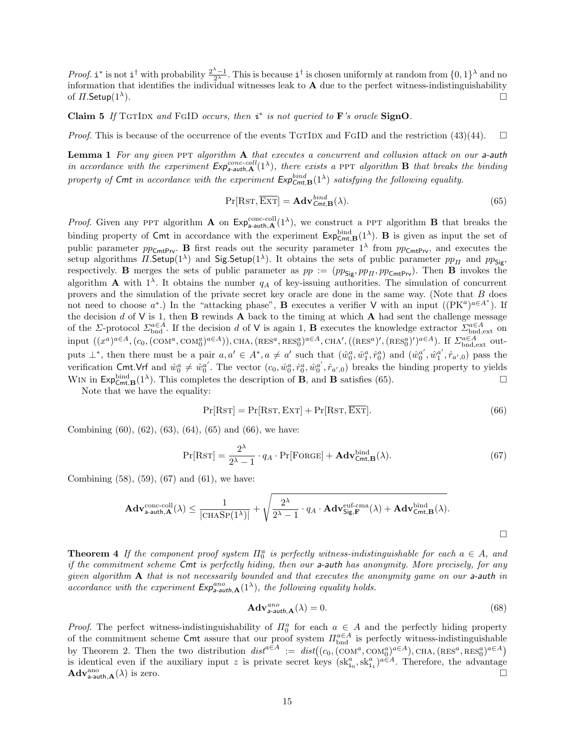*Proof.* **i**<sup>\*</sup> is not **i**<sup>†</sup> with probability  $\frac{2^{\lambda}-1}{2^{\lambda}}$ . This is because **i**<sup>†</sup> is chosen uniformly at random from  $\{0,1\}^{\lambda}$  and no information that identifies the individual witnesses leak to  $A$  due to the perfect witness-indistinguishability of  $\Pi$ . Setup $(1^{\lambda})$ . ).  $\Box$ 

Claim 5 If TGTIDX and FGID occurs, then  $i^*$  is not queried to  $\mathbf{F}'s$  oracle SignO.

*Proof.* This is because of the occurrence of the events TGTIDX and FGID and the restriction (43)(44).  $\Box$ 

**Lemma 1** For any given PPT algorithm  $\bf{A}$  that executes a concurrent and collusion attack on our a-auth in accordance with the experiment  $Exp_{a-auth,A}^{conc-coll}(1^{\lambda})$ , there exists a PPT algorithm **B** that breaks the binding property of Cmt in accordance with the experiment  $Exp_{Cmt, \mathbf{B}}^{bind}(1^{\lambda})$  satisfying the following equality.

$$
\Pr[\text{RST}, \overline{\text{EXT}}] = \mathbf{Adv}_{\mathsf{Cmt}, \mathbf{B}}^{bind}(\lambda). \tag{65}
$$

*Proof.* Given any PPT algorithm **A** on  $Exp_{a-auth, \mathbf{A}}^{conc-coll}(1^{\lambda})$ , we construct a PPT algorithm **B** that breaks the binding property of Cmt in accordance with the experiment  $Exp_{\text{Cmt},\text{B}}^{\text{bind}}(1^{\lambda})$ . **B** is given as input the set of public parameter  $pp_{\text{CmtPiv}}$ . **B** first reads out the security parameter  $1^{\lambda}$  from  $pp_{\text{CmtPiv}}$ , and executes the setup algorithms  $\Pi$ . Setup(1<sup> $\lambda$ </sup>) and Sig. Setup(1<sup> $\lambda$ </sup>). It obtains the sets of public parameter  $pp_{\Pi}$  and  $pp_{\text{Sig}}$ , respectively. B merges the sets of public parameter as  $pp := (pp_{\text{Sig}}, pp_{\Pi}, pp_{\text{CmtPrv}})$ . Then B invokes the algorithm **A** with  $1^{\lambda}$ . It obtains the number  $q_A$  of key-issuing authorities. The simulation of concurrent provers and the simulation of the private secret key oracle are done in the same way. (Note that B does not need to choose  $a^*$ .) In the "attacking phase", **B** executes a verifier **V** with an input  $((PK^a)^{a \in A^*})$ . If the decision d of  $V$  is 1, then  $B$  rewinds  $A$  back to the timing at which  $A$  had sent the challenge message of the  $\Sigma$ -protocol  $\Sigma_{\text{bnd}}^{\alpha \in A}$ . If the decision d of V is again 1, **B** executes the knowledge extractor  $\Sigma_{\text{bnd,ext}}^{\alpha \in A}$  on  $\text{input } ((x^a)^{a \in A}, (c_0, (\text{COM}^a, \text{COM}^a_0)^{a \in A})), \text{CHA}, (\text{RES}^a, \text{RES}^a_0)^{a \in A}, \text{CHA}', ((\text{RES}^a)', (\text{RES}^a)^{\prime})^{a \in A})$ . If  $\Sigma_{\text{bnd,ext}}^{a \in A}$  outputs  $\perp^*$ , then there must be a pair  $a, a' \in A^*$ ,  $a \neq a'$  such that  $(\hat{w}_0^a, \hat{w}_1^a, \hat{r}_0^a)$  and  $(\hat{w}_0^{a'}, \hat{w}_1^{a'}, \hat{r}_{a',0})$  pass the verification Cmt.Vrf and  $\hat{w}_0^a \neq \hat{w}_0^{a'}$ . The vector  $(c_0, \hat{w}_0^a, \hat{r}_0^a, \hat{w}_0^{a'}, \hat{r}_{a',0})$  breaks the binding property to yields WIN in  $\mathsf{Exp}^{\text{bind}}_{\mathsf{Cmt},\mathbf{B}}(1^{\lambda})$ . This completes the description of **B**, and **B** satisfies (65).

Note that we have the equality:

$$
Pr[Rsr] = Pr[Rsr, Exr] + Pr[Rsr, \overline{Exr}].
$$
\n(66)

Combining  $(60)$ ,  $(62)$ ,  $(63)$ ,  $(64)$ ,  $(65)$  and  $(66)$ , we have:

$$
\Pr[\text{RST}] = \frac{2^{\lambda}}{2^{\lambda} - 1} \cdot q_A \cdot \Pr[\text{FORGE}] + \mathbf{Adv}_{\text{Cmt},\text{B}}^{\text{bind}}(\lambda). \tag{67}
$$

Combining (58), (59), (67) and (61), we have:

$$
\mathbf{Adv}_{\mathsf{a}\text{-auth},\mathbf{A}}^{\text{conc-coll}}(\lambda) \le \frac{1}{|\text{CHASP}(1^{\lambda})|} + \sqrt{\frac{2^{\lambda}}{2^{\lambda}-1} \cdot q_{A} \cdot \mathbf{Adv}_{\mathsf{Sig},\mathbf{F}}^{\text{euf-cma}}(\lambda) + \mathbf{Adv}_{\mathsf{Cmt},\mathbf{B}}^{\text{bind}}(\lambda)}.
$$

**Theorem 4** If the component proof system  $\Pi_0^a$  is perfectly witness-indistinguishable for each  $a \in A$ , and if the commitment scheme Cmt is perfectly hiding, then our a-auth has anonymity. More precisely, for any given algorithm  $A$  that is not necessarily bounded and that executes the anonymity game on our a-auth in accordance with the experiment  $Exp_{a-auth, \mathbf{A}}^{ano}(1^{\lambda})$ , the following equality holds.

$$
\mathbf{Adv}_{\mathbf{a}\text{-}auth,\mathbf{A}}^{ano}(\lambda) = 0. \tag{68}
$$

*Proof.* The perfect witness-indistinguishability of  $\Pi_0^a$  for each  $a \in A$  and the perfectly hiding property of the commitment scheme Cmt assure that our proof system  $\Pi_{\text{bnd}}^{a\in A}$  is perfectly witness-indistinguishable by Theorem 2. Then the two distribution  $dist^{a\in A} := dist((c_0, (\text{COM}^a, \text{COM}^a_0)^{a\in A}), \text{CHA}, (\text{RES}^a, \text{RES}^a_0)^{a\in A})$ is identical even if the auxiliary input z is private secret keys  $(s k_{i_0}^a, s k_{i_1}^a)^{a \in A}$ . Therefore, the advantage  $\mathbf{Adv}_{\mathsf{a}\text{-}\mathsf{auth},\mathbf{A}}^{\text{ano}}(\lambda)$  is zero.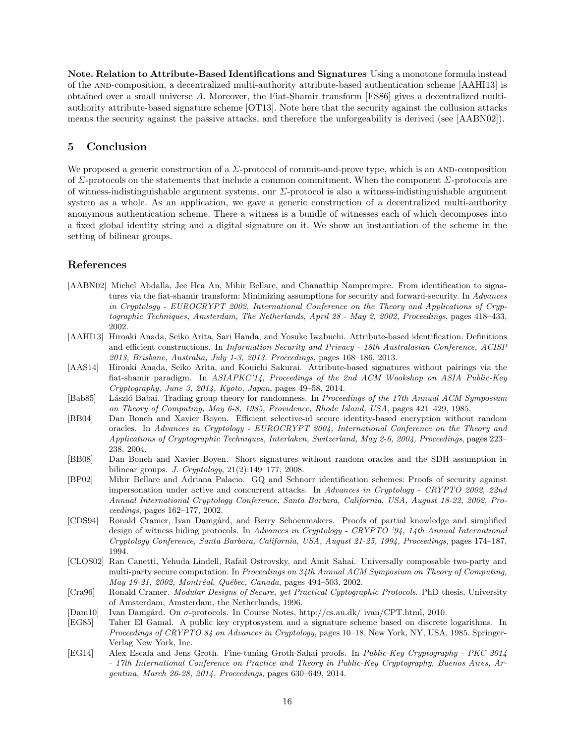Note. Relation to Attribute-Based Identifications and Signatures Using a monotone formula instead of the and-composition, a decentralized multi-authority attribute-based authentication scheme [AAHI13] is obtained over a small universe A. Moreover, the Fiat-Shamir transform [FS86] gives a decentralized multiauthority attribute-based signature scheme [OT13]. Note here that the security against the collusion attacks means the security against the passive attacks, and therefore the unforgeability is derived (see [AABN02]).

# 5 Conclusion

We proposed a generic construction of a  $\Sigma$ -protocol of commit-and-prove type, which is an AND-composition of  $\Sigma$ -protocols on the statements that include a common commitment. When the component  $\Sigma$ -protocols are of witness-indistinguishable argument systems, our Σ-protocol is also a witness-indistinguishable argument system as a whole. As an application, we gave a generic construction of a decentralized multi-authority anonymous authentication scheme. There a witness is a bundle of witnesses each of which decomposes into a fixed global identity string and a digital signature on it. We show an instantiation of the scheme in the setting of bilinear groups.

# References

- [AABN02] Michel Abdalla, Jee Hea An, Mihir Bellare, and Chanathip Namprempre. From identification to signatures via the fiat-shamir transform: Minimizing assumptions for security and forward-security. In Advances in Cryptology - EUROCRYPT 2002, International Conference on the Theory and Applications of Cryptographic Techniques, Amsterdam, The Netherlands, April 28 - May 2, 2002, Proceedings, pages 418–433, 2002.
- [AAHI13] Hiroaki Anada, Seiko Arita, Sari Handa, and Yosuke Iwabuchi. Attribute-based identification: Definitions and efficient constructions. In Information Security and Privacy - 18th Australasian Conference, ACISP 2013, Brisbane, Australia, July 1-3, 2013. Proceedings, pages 168–186, 2013.
- [AAS14] Hiroaki Anada, Seiko Arita, and Kouichi Sakurai. Attribute-based signatures without pairings via the fiat-shamir paradigm. In ASIAPKC'14, Proceedings of the 2nd ACM Wookshop on ASIA Public-Key Cryptography, June 3, 2014, Kyoto, Japan, pages 49–58, 2014.
- [Bab85] László Babai. Trading group theory for randomness. In Proceedings of the 17th Annual ACM Symposium on Theory of Computing, May 6-8, 1985, Providence, Rhode Island, USA, pages 421–429, 1985.
- [BB04] Dan Boneh and Xavier Boyen. Efficient selective-id secure identity-based encryption without random oracles. In Advances in Cryptology - EUROCRYPT 2004, International Conference on the Theory and Applications of Cryptographic Techniques, Interlaken, Switzerland, May 2-6, 2004, Proceedings, pages 223– 238, 2004.
- [BB08] Dan Boneh and Xavier Boyen. Short signatures without random oracles and the SDH assumption in bilinear groups. J. Cryptology, 21(2):149–177, 2008.
- [BP02] Mihir Bellare and Adriana Palacio. GQ and Schnorr identification schemes: Proofs of security against impersonation under active and concurrent attacks. In Advances in Cryptology - CRYPTO 2002, 22nd Annual International Cryptology Conference, Santa Barbara, California, USA, August 18-22, 2002, Proceedings, pages 162–177, 2002.
- [CDS94] Ronald Cramer, Ivan Damgård, and Berry Schoenmakers. Proofs of partial knowledge and simplified design of witness hiding protocols. In Advances in Cryptology - CRYPTO '94, 14th Annual International Cryptology Conference, Santa Barbara, California, USA, August 21-25, 1994, Proceedings, pages 174–187, 1994.
- [CLOS02] Ran Canetti, Yehuda Lindell, Rafail Ostrovsky, and Amit Sahai. Universally composable two-party and multi-party secure computation. In Proceedings on 34th Annual ACM Symposium on Theory of Computing, May 19-21, 2002, Montréal, Québec, Canada, pages 494-503, 2002.
- [Cra96] Ronald Cramer. Modular Designs of Secure, yet Practical Cyptographic Protocols. PhD thesis, University of Amsterdam, Amsterdam, the Netherlands, 1996.
- [Dam10] Ivan Damgård. On σ-protocols. In Course Notes, http://cs.au.dk/ ivan/CPT.html, 2010.
- [EG85] Taher El Gamal. A public key cryptosystem and a signature scheme based on discrete logarithms. In Proceedings of CRYPTO 84 on Advances in Cryptology, pages 10–18, New York, NY, USA, 1985. Springer-Verlag New York, Inc.
- [EG14] Alex Escala and Jens Groth. Fine-tuning Groth-Sahai proofs. In Public-Key Cryptography PKC 2014 - 17th International Conference on Practice and Theory in Public-Key Cryptography, Buenos Aires, Argentina, March 26-28, 2014. Proceedings, pages 630–649, 2014.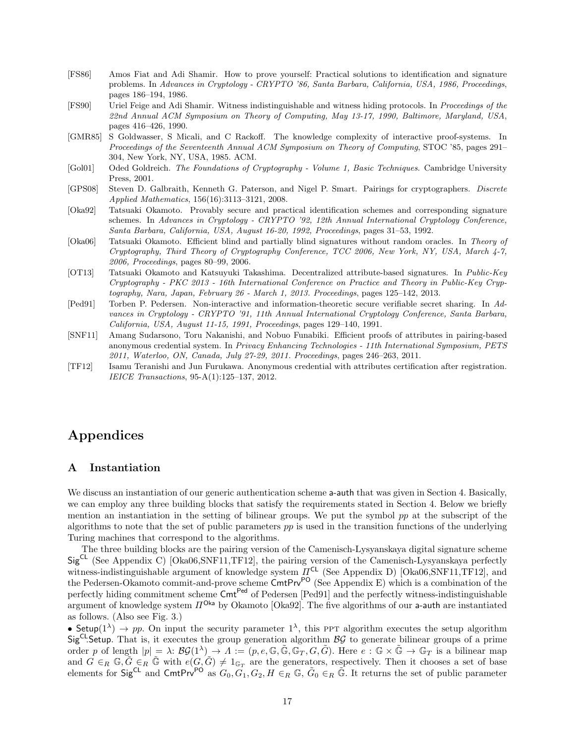- [FS86] Amos Fiat and Adi Shamir. How to prove yourself: Practical solutions to identification and signature problems. In Advances in Cryptology - CRYPTO '86, Santa Barbara, California, USA, 1986, Proceedings, pages 186–194, 1986.
- [FS90] Uriel Feige and Adi Shamir. Witness indistinguishable and witness hiding protocols. In Proceedings of the 22nd Annual ACM Symposium on Theory of Computing, May 13-17, 1990, Baltimore, Maryland, USA, pages 416–426, 1990.
- [GMR85] S Goldwasser, S Micali, and C Rackoff. The knowledge complexity of interactive proof-systems. In Proceedings of the Seventeenth Annual ACM Symposium on Theory of Computing, STOC '85, pages 291– 304, New York, NY, USA, 1985. ACM.
- [Gol01] Oded Goldreich. The Foundations of Cryptography Volume 1, Basic Techniques. Cambridge University Press, 2001.
- [GPS08] Steven D. Galbraith, Kenneth G. Paterson, and Nigel P. Smart. Pairings for cryptographers. Discrete Applied Mathematics, 156(16):3113–3121, 2008.
- [Oka92] Tatsuaki Okamoto. Provably secure and practical identification schemes and corresponding signature schemes. In Advances in Cryptology - CRYPTO '92, 12th Annual International Cryptology Conference, Santa Barbara, California, USA, August 16-20, 1992, Proceedings, pages 31–53, 1992.
- [Oka06] Tatsuaki Okamoto. Efficient blind and partially blind signatures without random oracles. In Theory of Cryptography, Third Theory of Cryptography Conference, TCC 2006, New York, NY, USA, March 4-7, 2006, Proceedings, pages 80–99, 2006.
- [OT13] Tatsuaki Okamoto and Katsuyuki Takashima. Decentralized attribute-based signatures. In Public-Key Cryptography - PKC 2013 - 16th International Conference on Practice and Theory in Public-Key Cryptography, Nara, Japan, February 26 - March 1, 2013. Proceedings, pages 125–142, 2013.
- [Ped91] Torben P. Pedersen. Non-interactive and information-theoretic secure verifiable secret sharing. In Advances in Cryptology - CRYPTO '91, 11th Annual International Cryptology Conference, Santa Barbara, California, USA, August 11-15, 1991, Proceedings, pages 129–140, 1991.
- [SNF11] Amang Sudarsono, Toru Nakanishi, and Nobuo Funabiki. Efficient proofs of attributes in pairing-based anonymous credential system. In Privacy Enhancing Technologies - 11th International Symposium, PETS 2011, Waterloo, ON, Canada, July 27-29, 2011. Proceedings, pages 246–263, 2011.
- [TF12] Isamu Teranishi and Jun Furukawa. Anonymous credential with attributes certification after registration. IEICE Transactions, 95-A(1):125–137, 2012.

# Appendices

# A Instantiation

We discuss an instantiation of our generic authentication scheme **a-auth** that was given in Section 4. Basically, we can employ any three building blocks that satisfy the requirements stated in Section 4. Below we briefly mention an instantiation in the setting of bilinear groups. We put the symbol  $pp$  at the subscript of the algorithms to note that the set of public parameters pp is used in the transition functions of the underlying Turing machines that correspond to the algorithms.

The three building blocks are the pairing version of the Camenisch-Lysyanskaya digital signature scheme  $Sig^{CL}$  (See Appendix C) [Oka06,SNF11,TF12], the pairing version of the Camenisch-Lysyanskaya perfectly witness-indistinguishable argument of knowledge system  $\Pi^{\mathsf{CL}}$  (See Appendix D) [Oka06,SNF11,TF12], and the Pedersen-Okamoto commit-and-prove scheme CmtPrv<sup>PO</sup> (See Appendix E) which is a combination of the perfectly hiding commitment scheme Cmt<sup>Ped</sup> of Pedersen [Ped91] and the perfectly witness-indistinguishable argument of knowledge system  $\Pi^{\text{Obs}}$  by Okamoto [Oka92]. The five algorithms of our a-auth are instantiated as follows. (Also see Fig. 3.)

• Setup $(1^{\lambda}) \rightarrow pp$ . On input the security parameter  $1^{\lambda}$ , this PPT algorithm executes the setup algorithm  $Sig^{CL}$ Setup. That is, it executes the group generation algorithm  $BG$  to generate bilinear groups of a prime order p of length  $|p| = \lambda: \mathcal{B}\mathcal{G}(1^{\lambda}) \to \Lambda := (p, e, \mathbb{G}, \tilde{\mathbb{G}}, \tilde{\mathbb{G}_T}, G, \tilde{G})$ . Here  $e : \mathbb{G} \times \tilde{\mathbb{G}} \to \mathbb{G}_T$  is a bilinear map and  $G \in_R \mathbb{G}, \tilde{G} \in_R \tilde{\mathbb{G}}$  with  $e(G, \tilde{G}) \neq 1_{\mathbb{G}_T}$  are the generators, respectively. Then it chooses a set of base elements for  $Sig^{CL}$  and  $CentPrv^{PO}$  as  $G_0, G_1, G_2, H \in_R \mathbb{G}$ ,  $\tilde{G}_0 \in_R \tilde{\mathbb{G}}$ . It returns the set of public parameter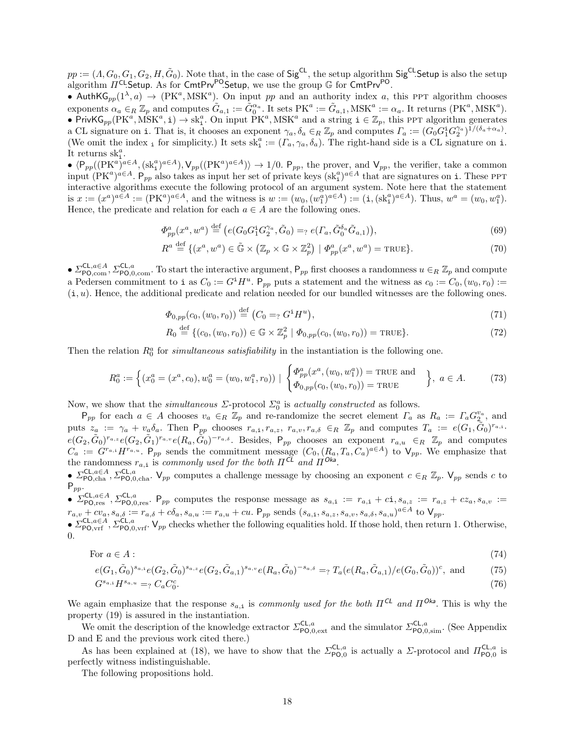$pp := (A, G_0, G_1, G_2, H, \tilde{G}_0)$ . Note that, in the case of  $\mathsf{Sig}^{\mathsf{CL}},$  the setup algorithm  $\mathsf{Sig}^{\mathsf{CL}}$ Setup is also the setup algorithm  $\Pi^{\mathsf{CL}}$ Setup. As for CmtPrv<sup>PO</sup>.Setup, we use the group  $\mathbb G$  for CmtPrv<sup>PO</sup>.

• Auth $\mathsf{KG}_{pp}(1^{\lambda},a) \rightarrow (\mathsf{PK}^a,\mathsf{MSK}^a)$ . On input pp and an authority index a, this PPT algorithm chooses exponents  $\alpha_a \in_R \mathbb{Z}_p$  and computes  $\tilde{G}_{a,1} := \tilde{G}_0^{\alpha_a}$ . It sets  $PK^a := \tilde{G}_{a,1}$ ,  $MSK^a := \alpha_a$ . It returns  $(PK^a, MSK^a)$ . • PrivKG<sub>pp</sub>(PK<sup>a</sup>, MSK<sup>a</sup>, i)  $\rightarrow$  sk<sub>i</sub><sup>a</sup>. On input PK<sup>a</sup>, MSK<sup>a</sup> and a string  $i \in \mathbb{Z}_p$ , this PPT algorithm generates a CL signature on i. That is, it chooses an exponent  $\gamma_a, \delta_a \in_R \mathbb{Z}_p$  and computes  $\Gamma_a := (G_0 G_1^i G_2^{\gamma_a})^{\tilde{1}/(\delta_a + \alpha_a)}$ . (We omit the index <sub>i</sub> for simplicity.) It sets  $sk_i^a := (\Gamma_a, \gamma_a, \delta_a)$ . The right-hand side is a CL signature on i. It returns  $\mathrm{sk}^a_i$ .

 $\langle P_{pp}((PK^a)^{a\in A}, (sk^a)_{a\in A}), V_{pp}((PK^a)^{a\in A})\rangle \to 1/0$ .  $P_{pp}$ , the prover, and  $V_{pp}$ , the verifier, take a common input  $(PK^a)^{a\in A}$ . P<sub>pp</sub> also takes as input her set of private keys  $(s k_i^a)^{a\in A}$  that are signatures on i. These PPT interactive algorithms execute the following protocol of an argument system. Note here that the statement is  $x := (x^a)^{a \in A} := (PK^a)^{a \in A}$ , and the witness is  $w := (w_0, (w_1^a)^{a \in A}) := (\mathbf{i}, (sk_1^a)^{a \in A})$ . Thus,  $w^a = (w_0, w_1^a)$ . Hence, the predicate and relation for each  $a \in A$  are the following ones.

$$
\Phi_{pp}^a(x^a, w^a) \stackrel{\text{def}}{=} \left( e(G_0 G_1^i G_2^{\gamma_a}, \tilde{G}_0) =_? e(T_a, \tilde{G}_0^{\delta_a} \tilde{G}_{a,1}) \right),\tag{69}
$$

$$
R^{a} \stackrel{\text{def}}{=} \{ (x^{a}, w^{a}) \in \tilde{\mathbb{G}} \times (\mathbb{Z}_{p} \times \mathbb{G} \times \mathbb{Z}_{p}^{2}) \mid \Phi_{pp}^{a}(x^{a}, w^{a}) = \text{TRUE} \}.
$$
 (70)

 $\bullet$   $\Sigma_{\text{PO,comm}}^{\text{CL},a \in A}, \Sigma_{\text{PO,0,comm}}^{\text{CL},a}$ . To start the interactive argument,  $\mathsf{P}_{pp}$  first chooses a randomness  $u \in_R \mathbb{Z}_p$  and compute a Pedersen commitment to i as  $C_0 := G^i H^u$ .  $P_{pp}$  puts a statement and the witness as  $c_0 := C_0$ ,  $(w_0, r_0) :=$  $(i, u)$ . Hence, the additional predicate and relation needed for our bundled witnesses are the following ones.

$$
\Phi_{0,pp}(c_0,(w_0,r_0)) \stackrel{\text{def}}{=} (C_0 =_? G^1 H^u),\tag{71}
$$

$$
R_0 \stackrel{\text{def}}{=} \{ (c_0, (w_0, r_0)) \in \mathbb{G} \times \mathbb{Z}_p^2 \mid \Phi_{0, pp}(c_0, (w_0, r_0)) = \text{TRUE} \}. \tag{72}
$$

Then the relation  $R_0^a$  for *simultaneous satisfiability* in the instantiation is the following one.

$$
R_0^a := \left\{ (x_0^a = (x^a, c_0), w_0^a = (w_0, w_1^a, r_0)) \mid \begin{cases} \Phi_{pp}^a(x^a, (w_0, w_1^a)) = \text{TRUE} \text{ and } \\ \Phi_{0, pp}(c_0, (w_0, r_0)) = \text{TRUE} \end{cases} \right\}, a \in A. \tag{73}
$$

Now, we show that the *simultaneous*  $\Sigma$ -protocol  $\Sigma_0^a$  is actually constructed as follows.

 $P_{pp}$  for each  $a \in A$  chooses  $v_a \in_R \mathbb{Z}_p$  and re-randomize the secret element  $\Gamma_a$  as  $R_a := \Gamma_a G_2^{v_a}$ , and puts  $z_a := \gamma_a + v_a \delta_a$ . Then  $P_{pp}$  chooses  $r_{a,i}, r_{a,z}, r_{a,v}, r_{a,\delta} \in_R \mathbb{Z}_p$  and computes  $T_a := e(G_1, \tilde{G}_0)^{r_{a,i}}$ .  $e(G_2, \tilde{G}_0)^{r_{a,z}} e(G_2, \tilde{G}_1)^{r_{a,v}} e(R_a, \tilde{G}_0)^{-r_{a,\delta}}$ . Besides,  $P_{pp}$  chooses an exponent  $r_{a,u} \in_R \mathbb{Z}_p$  and computes  $C_a := G^{r_{a,i}}H^{r_{a,u}}$ .  $P_{pp}$  sends the commitment message  $(C_0, (R_a, T_a, C_a)^{a \in A})$  to  $V_{pp}$ . We emphasize that the randomness  $r_{a,i}$  is commonly used for the both  $\Pi^{CL}$  and  $\Pi^{Ok}$ .

 $\bullet$   $\Sigma_{\text{PO},\text{cha}}^{\text{CL},a\in A}, \Sigma_{\text{PO},\text{0},\text{cha}}^{\text{CL},a}$ .  $V_{pp}$  computes a challenge message by choosing an exponent  $c \in_R \mathbb{Z}_p$ .  $V_{pp}$  sends c to  $P_{pp}$ .

•  $\Sigma_{\text{PO},\text{res}}^{\text{CL},a\in A}, \Sigma_{\text{PO},0,\text{res}}^{\text{CL},a}$ . P<sub>pp</sub> computes the response message as  $s_{a,i} := r_{a,i} + c_i, s_{a,z} := r_{a,z} + c z_a, s_{a,v} :=$  $r_{a,v} + cv_a$ ,  $s_{a,\delta} := r_{a,\delta} + c\delta_a$ ,  $s_{a,u} := r_{a,u} + cu$ .  $P_{pp}$  sends  $(s_{a,i}, s_{a,z}, s_{a,v}, s_{a,\delta}, s_{a,u})^{\alpha \in A}$  to  $V_{pp}$ .

 $\bullet$   $\Sigma_{\text{PO},\text{vrf}}^{\text{CL},a\in A}$ ,  $\Sigma_{\text{PO},0,\text{vrf}}^{\text{CL},a}$ .  $V_{pp}$  checks whether the following equalities hold. If those hold, then return 1. Otherwise, 0.

For 
$$
a \in A
$$
: 
$$
(74)
$$

$$
e(G_1, \tilde{G}_0)^{s_{a,i}} e(G_2, \tilde{G}_0)^{s_{a,z}} e(G_2, \tilde{G}_{a,1})^{s_{a,v}} e(R_a, \tilde{G}_0)^{-s_{a,\delta}} =_? T_a(e(R_a, \tilde{G}_{a,1})/e(G_0, \tilde{G}_0))^c, \text{ and } (75)
$$

$$
G^{s_{a,1}}H^{s_{a,u}} =_? C_a C_0^c. \tag{76}
$$

We again emphasize that the response  $s_{a,i}$  is commonly used for the both  $\Pi^{CL}$  and  $\Pi^{Ok}$ . This is why the property (19) is assured in the instantiation.

We omit the description of the knowledge extractor  $\Sigma_{\text{PO},0,ext}^{\text{CL},a}$  and the simulator  $\Sigma_{\text{PO},0,sim}^{\text{CL},a}$ . (See Appendix D and E and the previous work cited there.)

As has been explained at (18), we have to show that the  $\Sigma_{\text{PO},0}^{\text{CL},a}$  is actually a  $\Sigma$ -protocol and  $\Pi_{\text{PO},0}^{\text{CL},a}$  is perfectly witness indistinguishable.

The following propositions hold.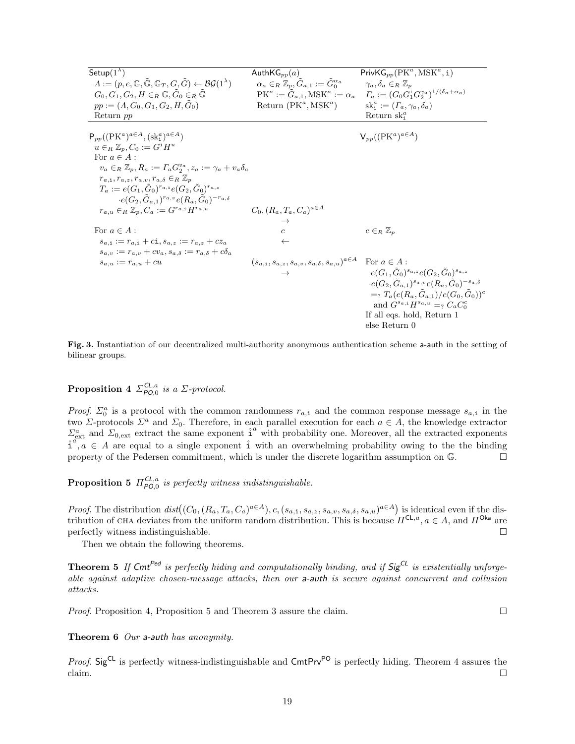| Setup $(1^{\lambda})$                                                                                                  | Auth $\mathsf{KG}_{pp}(a)$                                               | $PrivKG_{pp}(PK^a, MSK^a, i)$                                                                                       |
|------------------------------------------------------------------------------------------------------------------------|--------------------------------------------------------------------------|---------------------------------------------------------------------------------------------------------------------|
| $\Lambda := (p, e, \mathbb{G}, \mathbb{G}, \mathbb{G}_T, G, \tilde{G}) \leftarrow \mathcal{B}\mathcal{G}(1^{\lambda})$ | $\alpha_a \in_R \mathbb{Z}_p, \tilde{G}_{a,1} := \tilde{G}_0^{\alpha_a}$ | $\gamma_a, \delta_a \in_R \mathbb{Z}_p$                                                                             |
| $G_0, G_1, G_2, H \in_R \mathbb{G}, G_0 \in_R \mathbb{G}$                                                              |                                                                          | $PK^a := \tilde{G}_{a,1}, MSK^a := \alpha_a \quad \Gamma_a := (G_0 G_1^i G_2^{\gamma_a})^{1/(\delta_a + \alpha_a)}$ |
| $pp := (A, G_0, G_1, G_2, H, G_0)$                                                                                     | Return $(PK^a, MSK^a)$                                                   | $sk_i^a := (\Gamma_a, \gamma_a, \delta_a)$                                                                          |
| Return pp                                                                                                              |                                                                          | Return $sk_i^a$                                                                                                     |
|                                                                                                                        |                                                                          |                                                                                                                     |
| $P_{pp}((PK^a)^{a\in A}, (sk_i^a)^{a\in A})$                                                                           |                                                                          | $V_{pp}((PK^a)^{a\in A})$                                                                                           |
| $u \in_R \mathbb{Z}_n$ , $C_0 := G^1 H^u$                                                                              |                                                                          |                                                                                                                     |
| For $a \in A$ :                                                                                                        |                                                                          |                                                                                                                     |
| $v_a \in_R \mathbb{Z}_n, R_a := \Gamma_a G_2^{v_a}, z_a := \gamma_a + v_a \delta_a$                                    |                                                                          |                                                                                                                     |
| $r_{a,i}, r_{a,z}, r_{a,v}, r_{a,\delta} \in_R \mathbb{Z}_p$                                                           |                                                                          |                                                                                                                     |
| $T_a := e(G_1, G_0)^{r_{a,i}} e(G_2, G_0)^{r_{a,z}}$                                                                   |                                                                          |                                                                                                                     |
| $\cdot e(G_2, G_{a,1})^{r_{a,v}} e(R_a, G_0)^{-r_{a,\delta}}$                                                          |                                                                          |                                                                                                                     |
| $r_{a,u} \in_R \mathbb{Z}_p, C_a := G^{r_{a,i}} H^{r_{a,u}}$                                                           | $C_0, (R_a, T_a, C_a)^{a \in A}$                                         |                                                                                                                     |
|                                                                                                                        |                                                                          |                                                                                                                     |
| For $a \in A$ :                                                                                                        | $\overline{c}$                                                           | $c \in_R \mathbb{Z}_p$                                                                                              |
| $s_{a,i} := r_{a,i} + c\mathbf{i}, s_{a,z} := r_{a,z} + c z_a$                                                         | $\leftarrow$                                                             |                                                                                                                     |
| $s_{a,v} := r_{a,v} + cv_a$ , $s_{a,\delta} := r_{a,\delta} + c\delta_a$                                               |                                                                          |                                                                                                                     |
| $s_{a,u} := r_{a,u} + cu$                                                                                              | $(s_{a,1}, s_{a,z}, s_{a,v}, s_{a,\delta}, s_{a,u})^{a \in A}$           | For $a \in A$ :                                                                                                     |
|                                                                                                                        | $\rightarrow$                                                            | $e(G_1, \tilde{G}_0)^{s_{a,i}}e(G_2, \tilde{G}_0)^{s_{a,z}}$                                                        |
|                                                                                                                        |                                                                          | $\cdot e(G_2, \tilde{G}_{a,1})^{s_{a,v}} e(R_a, \tilde{G}_0)^{-s_{a,\delta}}$                                       |
|                                                                                                                        |                                                                          | $=\gamma T_a(e(R_a,\tilde{G}_{a,1})/e(G_0,\tilde{G}_0))^c$                                                          |
|                                                                                                                        |                                                                          | and $G^{s_{a,i}}H^{s_{a,u}} =_? C_a C_0^c$                                                                          |
|                                                                                                                        |                                                                          | If all eqs. hold, Return 1                                                                                          |
|                                                                                                                        |                                                                          | else Return 0                                                                                                       |

Fig. 3. Instantiation of our decentralized multi-authority anonymous authentication scheme a-auth in the setting of bilinear groups.

# **Proposition 4**  $\Sigma_{PO,0}^{CL,a}$  is a  $\Sigma$ -protocol.

*Proof.*  $\Sigma_0^a$  is a protocol with the common randomness  $r_{a,i}$  and the common response message  $s_{a,i}$  in the two Σ-protocols  $\Sigma^a$  and  $\Sigma_0$ . Therefore, in each parallel execution for each  $a \in A$ , the knowledge extractor  $\Sigma_{\text{ext}}^a$  and  $\Sigma_{0,\text{ext}}$  extract the same exponent  $\hat{i}^a$  with probability one. Moreover, all the extracted exponents  $\hat{i}^a, a \in A$  are equal to a single exponent  $\hat{i}$  with an overwhelming probability owing to the the binding property of the Pedersen commitment, which is under the discrete logarithm assumption on  $\mathbb{G}$ .

**Proposition 5**  $\Pi_{PO,0}^{CL,a}$  is perfectly witness indistinguishable.

*Proof.* The distribution  $dist((C_0, (R_a, T_a, C_a)^{a \in A}), c, (s_{a,i}, s_{a,z}, s_{a,v}, s_{a,\delta}, s_{a,u})^{a \in A})$  is identical even if the distribution of CHA deviates from the uniform random distribution. This is because  $\Pi^{\mathsf{CL},a}, a \in A$ , and  $\Pi^{\mathsf{Ok}}$  are  $\Box$  perfectly witness indistinguishable.

Then we obtain the following theorems.

**Theorem 5** If  $\mathsf{Cmt}^{\mathsf{Ped}}$  is perfectly hiding and computationally binding, and if  $\mathsf{Sig}^{\mathsf{CL}}$  is existentially unforgeable against adaptive chosen-message attacks, then our a-auth is secure against concurrent and collusion attacks.

*Proof.* Proposition 4, Proposition 5 and Theorem 3 assure the claim.

# Theorem 6 Our a-auth has anonymity.

*Proof.* Sig<sup>CL</sup> is perfectly witness-indistinguishable and  $\text{CmtPrv}^{\text{PO}}$  is perfectly hiding. Theorem 4 assures the claim.  $\Box$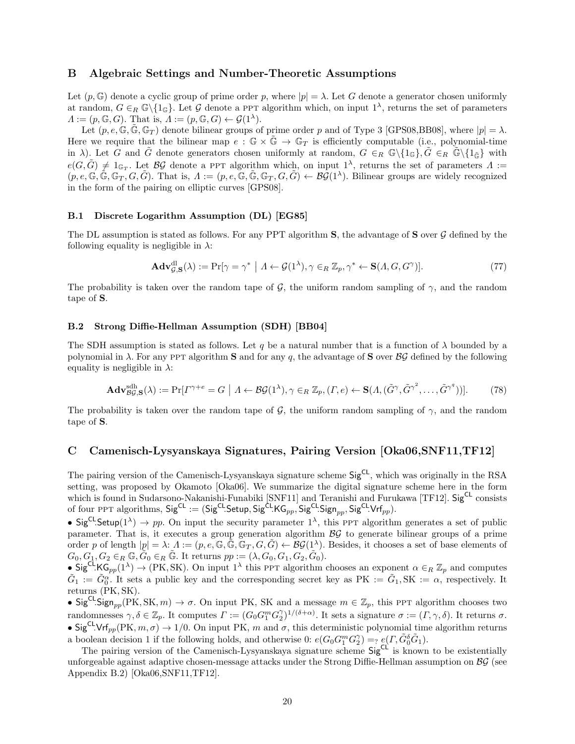# B Algebraic Settings and Number-Theoretic Assumptions

Let  $(p, \mathbb{G})$  denote a cyclic group of prime order p, where  $|p| = \lambda$ . Let G denote a generator chosen uniformly at random,  $G \in_R \mathbb{G}\backslash \{1_{\mathbb{G}}\}$ . Let G denote a PPT algorithm which, on input  $1^{\lambda}$ , returns the set of parameters  $\Lambda := (p, \mathbb{G}, G)$ . That is,  $\Lambda := (p, \mathbb{G}, G) \leftarrow \mathcal{G}(1^{\lambda})$ .

Let  $(p, e, \mathbb{G}, \tilde{\mathbb{G}}, \mathbb{G}_T)$  denote bilinear groups of prime order p and of Type 3 [GPS08,BB08], where  $|p| = \lambda$ . Here we require that the bilinear map  $e : \mathbb{G} \times \mathbb{G} \to \mathbb{G}_T$  is efficiently computable (i.e., polynomial-time in  $\lambda$ ). Let G and G denote generators chosen uniformly at random,  $G \in_R \mathbb{G} \setminus \{1_G\}, \tilde{G} \in_R \tilde{\mathbb{G}} \setminus \{1_{\tilde{G}}\}$  with  $e(G, \tilde{G}) \neq 1_{\mathbb{G}_T}$ . Let  $\mathcal{BG}$  denote a PPT algorithm which, on input  $1^{\lambda}$ , returns the set of parameters  $\Lambda :=$  $(p, e, \mathbb{G}, \tilde{\mathbb{G}}, \mathbb{G}_T, G, \tilde{G})$ . That is,  $\Lambda := (p, e, \tilde{\mathbb{G}}, \tilde{\mathbb{G}}, \mathbb{G}_T, G, \tilde{G}) \leftarrow \mathcal{B}\mathcal{G}(1^{\lambda})$ . Bilinear groups are widely recognized in the form of the pairing on elliptic curves [GPS08].

#### B.1 Discrete Logarithm Assumption (DL) [EG85]

The DL assumption is stated as follows. For any PPT algorithm  $S$ , the advantage of  $S$  over  $\mathcal G$  defined by the following equality is negligible in  $\lambda$ :

$$
\mathbf{Adv}_{\mathcal{G},S}^{\mathrm{dl}}(\lambda) := \Pr[\gamma = \gamma^* \mid \Lambda \leftarrow \mathcal{G}(1^{\lambda}), \gamma \in_R \mathbb{Z}_p, \gamma^* \leftarrow \mathbf{S}(\Lambda, G, G^{\gamma})].
$$
\n(77)

The probability is taken over the random tape of G, the uniform random sampling of  $\gamma$ , and the random tape of S.

#### B.2 Strong Diffie-Hellman Assumption (SDH) [BB04]

The SDH assumption is stated as follows. Let q be a natural number that is a function of  $\lambda$  bounded by a polynomial in  $\lambda$ . For any ppt algorithm **S** and for any q, the advantage of **S** over  $\beta \mathcal{G}$  defined by the following equality is negligible in  $\lambda$ :

$$
\mathbf{Adv}_{\mathcal{BG},\mathbf{S}}^{\mathrm{dh}}(\lambda) := \Pr[\Gamma^{\gamma+e} = G \mid \Lambda \leftarrow \mathcal{BG}(1^{\lambda}), \gamma \in_R \mathbb{Z}_p, (\Gamma, e) \leftarrow \mathbf{S}(\Lambda, (\tilde{G}^{\gamma}, \tilde{G}^{\gamma^2}, \dots, \tilde{G}^{\gamma^q}))].
$$
 (78)

The probability is taken over the random tape of G, the uniform random sampling of  $\gamma$ , and the random tape of S.

# C Camenisch-Lysyanskaya Signatures, Pairing Version [Oka06,SNF11,TF12]

The pairing version of the Camenisch-Lysyanskaya signature scheme Sig<sup>CL</sup>, which was originally in the RSA setting, was proposed by Okamoto [Oka06]. We summarize the digital signature scheme here in the form which is found in Sudarsono-Nakanishi-Funabiki [SNF11] and Teranishi and Furukawa [TF12]. SigCL consists of four PPT algorithms,  $\mathsf{Sig}^{\mathsf{CL}} := (\mathsf{Sig}^{\mathsf{CL}}\mathsf{Setup}, \mathsf{Sig}^{\mathsf{CL}}\mathsf{KG}_{pp}, \mathsf{Sig}^{\mathsf{CL}}\mathsf{Sign}_{pp}, \mathsf{Sig}^{\mathsf{CL}}\mathsf{Vrf}_{pp}).$ 

• Sig<sup>CL</sup>.Setup( $1^{\lambda}$ )  $\rightarrow$  pp. On input the security parameter  $1^{\lambda}$ , this PPT algorithm generates a set of public parameter. That is, it executes a group generation algorithm  $\beta \mathcal{G}$  to generate bilinear groups of a prime order p of length  $|p| = \lambda: \Lambda := (p, e, \mathbb{G}, \tilde{\mathbb{G}}, \mathbb{G}_T, G, \tilde{G}) \leftarrow \mathcal{B}\mathcal{G}(1^{\lambda})$ . Besides, it chooses a set of base elements of  $G_0, G_1, G_2 \in_R \mathbb{G}, \widetilde{G}_0 \in_R \widetilde{\mathbb{G}}$ . It returns  $pp := (\lambda, G_0, G_1, G_2, \widetilde{G}_0)$ .

• Sig<sup>CL</sup>KG<sub>pp</sub>(1<sup> $\lambda$ </sup>)  $\rightarrow$  (PK, SK). On input 1<sup> $\lambda$ </sup> this PPT algorithm chooses an exponent  $\alpha \in_R \mathbb{Z}_p$  and computes  $\tilde{G}_1 := \tilde{G}_0^{\alpha}$ . It sets a public key and the corresponding secret key as PK :=  $\tilde{G}_1$ , SK :=  $\alpha$ , respectively. It returns (PK, SK).

• Sig<sup>CL</sup>.Sign<sub>pp</sub>(PK, SK, m)  $\rightarrow \sigma$ . On input PK, SK and a message  $m \in \mathbb{Z}_p$ , this PPT algorithm chooses two randomnesses  $\gamma, \delta \in \mathbb{Z}_p$ . It computes  $\Gamma := (G_0 G_1^m G_2^{\gamma})^{1/(\delta + \alpha)}$ . It sets a signature  $\sigma := (\Gamma, \gamma, \delta)$ . It returns  $\sigma$ . • Sig<sup>CL</sup>.Vrf<sub>pp</sub>(PK,  $m, \sigma$ )  $\rightarrow$  1/0. On input PK, m and  $\sigma$ , this deterministic polynomial time algorithm returns a boolean decision 1 if the following holds, and otherwise 0:  $e(G_0G_1^mG_2^{\gamma}) = e(\Gamma, \tilde{G}_0^{\delta}\tilde{G}_1)$ .

The pairing version of the Camenisch-Lysyanskaya signature scheme Sig<sup>CL</sup> is known to be existentially unforgeable against adaptive chosen-message attacks under the Strong Diffie-Hellman assumption on  $\mathcal{BG}$  (see Appendix B.2) [Oka06,SNF11,TF12].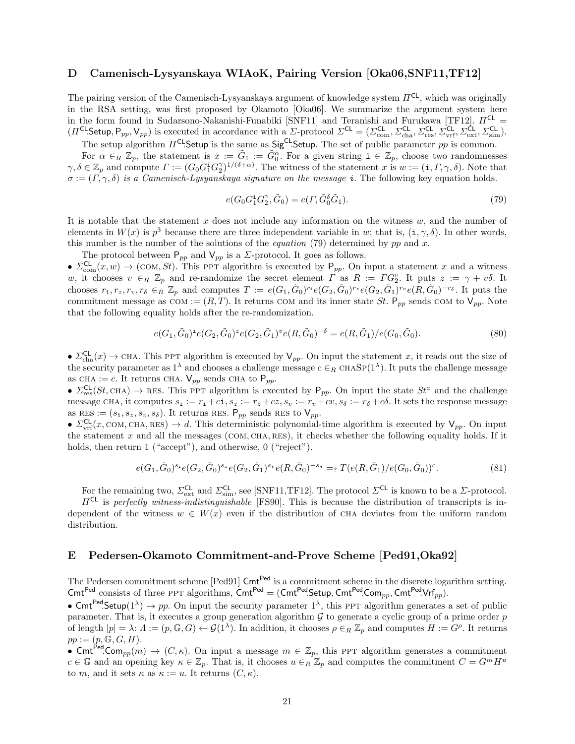# D Camenisch-Lysyanskaya WIAoK, Pairing Version [Oka06,SNF11,TF12]

The pairing version of the Camenisch-Lysyanskaya argument of knowledge system  $\Pi^{\mathsf{CL}}$ , which was originally in the RSA setting, was first proposed by Okamoto [Oka06]. We summarize the argument system here in the form found in Sudarsono-Nakanishi-Funabiki [SNF11] and Teranishi and Furukawa [TF12].  $\Pi^{\text{CL}}$  =  $(\Pi^{\text{CL}}\text{Setup}, \mathsf{P}_{pp}, \mathsf{V}_{pp})$  is executed in accordance with a  $\Sigma$ -protocol  $\Sigma^{\text{CL}} = (\Sigma^{\text{CL}}_{\text{com}}, \Sigma^{\text{CL}}_{\text{ch}}, \Sigma^{\text{CL}}_{\text{res}}, \Sigma^{\text{CL}}_{\text{vrf}}, \Sigma^{\text{CL}}_{\text{ext}}, \Sigma^{\text{CL}}_{\text{sim}})$ .

The setup algorithm  $\Pi^{\text{CL}}$ . Setup is the same as Sig<sup>CL</sup>. Setup. The set of public parameter pp is common.

For  $\alpha \in_R \mathbb{Z}_p$ , the statement is  $x := \tilde{G}_1 := \tilde{G}_0^{\alpha}$ . For a given string  $i \in \mathbb{Z}_p$ , choose two randomnesses  $\gamma, \delta \in \mathbb{Z}_p$  and compute  $\Gamma := (G_0 G_1^{\mathbf{i}} G_2^{\gamma})^{1/(\delta + \alpha)}$ . The witness of the statement x is  $w := (\mathbf{i}, \Gamma, \gamma, \delta)$ . Note that  $\sigma := (\Gamma, \gamma, \delta)$  is a Camenisch-Lysyanskaya signature on the message i. The following key equation holds.

$$
e(G_0 G_1^{\mathbf{i}} G_2^{\gamma}, \tilde{G}_0) = e(\Gamma, \tilde{G}_0^{\delta} \tilde{G}_1). \tag{79}
$$

It is notable that the statement  $x$  does not include any information on the witness  $w$ , and the number of elements in  $W(x)$  is  $p<sup>3</sup>$  because there are three independent variable in w; that is,  $(i, \gamma, \delta)$ . In other words, this number is the number of the solutions of the *equation* (79) determined by pp and x.

The protocol between  $P_{pp}$  and  $V_{pp}$  is a  $\Sigma$ -protocol. It goes as follows.

•  $\Sigma_{\text{com}}^{\text{CL}}(x, w) \rightarrow (\text{COM}, St)$ . This PPT algorithm is executed by  $P_{pp}$ . On input a statement x and a witness w, it chooses  $v \in_R \mathbb{Z}_p$  and re-randomize the secret element  $\overrightarrow{\Gamma}$  as  $R := \Gamma G_2^v$ . It puts  $z := \gamma + v\delta$ . It chooses  $r_1, r_z, r_v, r_\delta \in_R \mathbb{Z}_p$  and computes  $T := e(G_1, \tilde{G}_0)^{r_1} e(G_2, \tilde{G}_0)^{r_z} e(G_2, \tilde{G}_1)^{r_v} e(R, \tilde{G}_0)^{-r_\delta}$ . It puts the commitment message as  $COM := (R, T)$ . It returns COM and its inner state St.  $P_{pp}$  sends COM to  $V_{pp}$ . Note that the following equality holds after the re-randomization.

$$
e(G_1, \tilde{G}_0)^{\dagger} e(G_2, \tilde{G}_0)^{\dagger} e(G_2, \tilde{G}_1)^{\nu} e(R, \tilde{G}_0)^{-\delta} = e(R, \tilde{G}_1)/e(G_0, \tilde{G}_0). \tag{80}
$$

•  $\Sigma_{\text{cha}}^{\text{CL}}(x) \to \text{CHA}$ . This ppt algorithm is executed by  $\mathsf{V}_{pp}$ . On input the statement x, it reads out the size of the security parameter as  $1^{\lambda}$  and chooses a challenge message  $c \in_R$  CHASP( $1^{\lambda}$ ). It puts the challenge message as CHA := c. It returns CHA.  $V_{pp}$  sends CHA to  $P_{pp}$ .

•  $\Sigma_{\text{res}}^{\text{CL}}(St, \text{CHA}) \rightarrow \text{RES}$ . This PPT algorithm is executed by  $P_{pp}$ . On input the state  $St^a$  and the challenge message CHA, it computes  $s_i := r_i + c_i$ ,  $s_z := r_z + c_i$ ,  $s_v := r_v + cv$ ,  $s_\delta := r_\delta + c\delta$ . It sets the response message as  $\overline{\text{RES}} := (s_1, s_2, s_v, s_\delta)$ . It returns RES.  $\mathsf{P}_{pp}$  sends RES to  $\mathsf{V}_{pp}$ .

•  $\Sigma_{\text{vrf}}^{\text{CL}}(x, \text{COM}, \text{CHA}, \text{RES}) \rightarrow d$ . This deterministic polynomial-time algorithm is executed by  $V_{pp}$ . On input the statement x and all the messages (COM, CHA, RES), it checks whether the following equality holds. If it holds, then return 1 ("accept"), and otherwise, 0 ("reject").

$$
e(G_1, \tilde{G}_0)^{s_1} e(G_2, \tilde{G}_0)^{s_2} e(G_2, \tilde{G}_1)^{s_v} e(R, \tilde{G}_0)^{-s_\delta} =_? T(e(R, \tilde{G}_1)/e(G_0, \tilde{G}_0))^c.
$$
\n
$$
(81)
$$

For the remaining two,  $\Sigma_{\text{ext}}^{\text{CL}}$  and  $\Sigma_{\text{sim}}^{\text{CL}}$ , see [SNF11,TF12]. The protocol  $\Sigma^{\text{CL}}$  is known to be a  $\Sigma$ -protocol.  $\Pi^{\mathsf{CL}}$  is perfectly witness-indistinguishable [FS90]. This is because the distribution of transcripts is in-

dependent of the witness  $w \in W(x)$  even if the distribution of CHA deviates from the uniform random distribution.

# E Pedersen-Okamoto Commitment-and-Prove Scheme [Ped91,Oka92]

The Pedersen commitment scheme [Ped91]  $\text{Cmt}^{\text{Ped}}$  is a commitment scheme in the discrete logarithm setting. Cmt<sup>Ped</sup> consists of three PPT algorithms,  $\text{Cmt}^{\text{Ped}} = (\text{Cmt}^{\text{Ped}} \text{Setup}, \text{Cmt}^{\text{Ped}} \text{Comp}_p, \text{Cmt}^{\text{Ped}} \text{Vrf}_{pp}).$ 

• Cmt<sup>Ped</sup>.Setup(1<sup> $\lambda$ </sup>)  $\rightarrow$  pp. On input the security parameter 1<sup> $\lambda$ </sup>, this PPT algorithm generates a set of public parameter. That is, it executes a group generation algorithm  $\mathcal G$  to generate a cyclic group of a prime order  $p$ of length  $|p| = \lambda: \Lambda := (p, \mathbb{G}, G) \leftarrow \mathcal{G}(\Lambda)$ . In addition, it chooses  $\rho \in_R \mathbb{Z}_p$  and computes  $H := G^{\rho}$ . It returns  $pp := (p, \mathbb{G}, G, H).$ 

• Cmt<sup>Ped</sup>.Com<sub>pp</sub> $(m) \to (C, \kappa)$ . On input a message  $m \in \mathbb{Z}_p$ , this PPT algorithm generates a commitment  $c \in \mathbb{G}$  and an opening key  $\kappa \in \mathbb{Z}_p$ . That is, it chooses  $u \in_R \mathbb{Z}_p$  and computes the commitment  $C = G^m H^u$ to m, and it sets  $\kappa$  as  $\kappa := u$ . It returns  $(C, \kappa)$ .